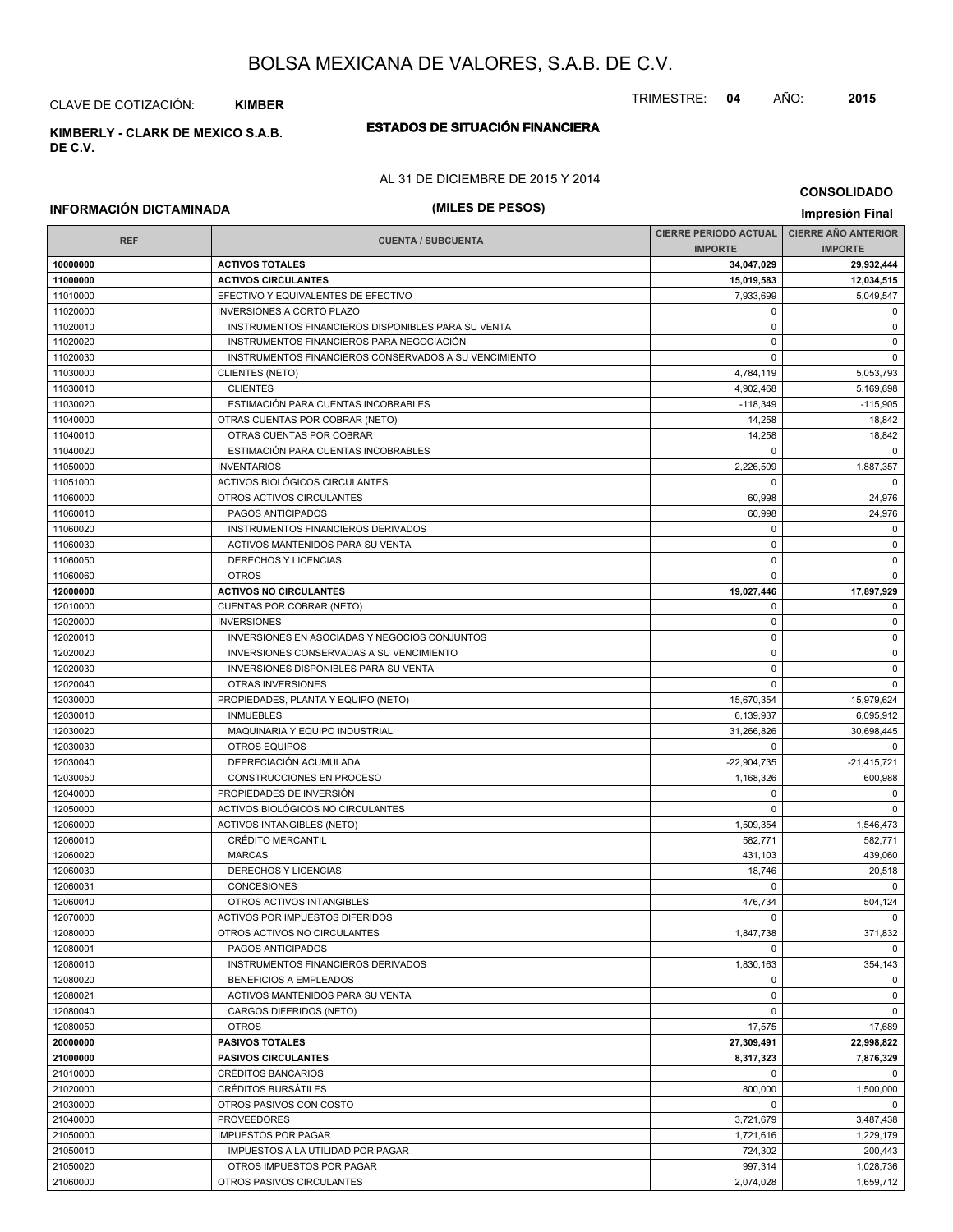CLAVE DE COTIZACIÓN: **KIMBER**

**DE C.V.**

## **ESTADOS DE SITUACIÓN FINANCIERA KIMBERLY - CLARK DE MEXICO S.A.B.**

#### AL 31 DE DICIEMBRE DE 2015 Y 2014

#### **CONSOLIDADO**

TRIMESTRE: **04** AÑO: **2015**

| (MILES DE PESOS)<br><b>INFORMACIÓN DICTAMINADA</b> |                                                       |                              |                            |  |  |
|----------------------------------------------------|-------------------------------------------------------|------------------------------|----------------------------|--|--|
|                                                    |                                                       | <b>CIERRE PERIODO ACTUAL</b> | <b>CIERRE AÑO ANTERIOR</b> |  |  |
| <b>REF</b>                                         | <b>CUENTA / SUBCUENTA</b>                             | <b>IMPORTE</b>               | <b>IMPORTE</b>             |  |  |
| 10000000                                           | <b>ACTIVOS TOTALES</b>                                | 34,047,029                   | 29,932,444                 |  |  |
| 11000000                                           | <b>ACTIVOS CIRCULANTES</b>                            | 15,019,583                   | 12,034,515                 |  |  |
| 11010000                                           | EFECTIVO Y EQUIVALENTES DE EFECTIVO                   | 7,933,699                    | 5,049,547                  |  |  |
| 11020000                                           | <b>INVERSIONES A CORTO PLAZO</b>                      | 0                            | $\mathbf 0$                |  |  |
| 11020010                                           | INSTRUMENTOS FINANCIEROS DISPONIBLES PARA SU VENTA    | 0                            | $\mathbf 0$                |  |  |
| 11020020                                           | INSTRUMENTOS FINANCIEROS PARA NEGOCIACIÓN             | 0                            | $\mathbf 0$                |  |  |
| 11020030                                           | INSTRUMENTOS FINANCIEROS CONSERVADOS A SU VENCIMIENTO | $\mathbf 0$                  | $\mathbf 0$                |  |  |
| 11030000                                           | <b>CLIENTES (NETO)</b>                                | 4,784,119                    | 5,053,793                  |  |  |
| 11030010                                           | <b>CLIENTES</b>                                       | 4,902,468                    | 5,169,698                  |  |  |
| 11030020                                           | ESTIMACIÓN PARA CUENTAS INCOBRABLES                   | $-118,349$                   | $-115,905$                 |  |  |
| 11040000                                           | OTRAS CUENTAS POR COBRAR (NETO)                       | 14,258                       | 18,842                     |  |  |
| 11040010                                           | OTRAS CUENTAS POR COBRAR                              | 14,258                       | 18,842                     |  |  |
| 11040020                                           | ESTIMACIÓN PARA CUENTAS INCOBRABLES                   | $\mathbf 0$                  | $\Omega$                   |  |  |
| 11050000                                           | <b>INVENTARIOS</b>                                    | 2,226,509                    | 1,887,357                  |  |  |
| 11051000                                           | ACTIVOS BIOLÓGICOS CIRCULANTES                        | 0                            | $\mathbf 0$                |  |  |
| 11060000                                           | OTROS ACTIVOS CIRCULANTES                             | 60,998                       | 24,976                     |  |  |
| 11060010                                           | PAGOS ANTICIPADOS                                     | 60,998                       | 24,976                     |  |  |
| 11060020                                           | INSTRUMENTOS FINANCIEROS DERIVADOS                    | 0                            | 0                          |  |  |
| 11060030                                           | ACTIVOS MANTENIDOS PARA SU VENTA                      | $\pmb{0}$                    | $\mathsf 0$                |  |  |
| 11060050                                           | DERECHOS Y LICENCIAS                                  | 0                            | $\mathbf 0$                |  |  |
| 11060060                                           | <b>OTROS</b>                                          | 0                            | $\mathbf 0$                |  |  |
| 12000000                                           | <b>ACTIVOS NO CIRCULANTES</b>                         | 19,027,446                   | 17,897,929                 |  |  |
| 12010000                                           | CUENTAS POR COBRAR (NETO)                             | 0                            | $\mathbf 0$                |  |  |
| 12020000                                           | <b>INVERSIONES</b>                                    | 0                            | 0                          |  |  |
| 12020010                                           | INVERSIONES EN ASOCIADAS Y NEGOCIOS CONJUNTOS         | $\pmb{0}$                    | $\mathsf 0$                |  |  |
| 12020020                                           | INVERSIONES CONSERVADAS A SU VENCIMIENTO              | 0                            | 0                          |  |  |
| 12020030                                           | INVERSIONES DISPONIBLES PARA SU VENTA                 | 0                            | $\mathbf 0$                |  |  |
| 12020040                                           | OTRAS INVERSIONES                                     | $\mathbf 0$                  | $\mathbf 0$                |  |  |
| 12030000                                           | PROPIEDADES, PLANTA Y EQUIPO (NETO)                   | 15,670,354                   | 15,979,624                 |  |  |
| 12030010                                           | <b>INMUEBLES</b>                                      | 6,139,937                    | 6,095,912                  |  |  |
| 12030020                                           | MAQUINARIA Y EQUIPO INDUSTRIAL                        | 31,266,826                   | 30,698,445                 |  |  |
| 12030030                                           | <b>OTROS EQUIPOS</b>                                  | $\Omega$                     | $\mathbf 0$                |  |  |
| 12030040                                           | DEPRECIACIÓN ACUMULADA                                | $-22,904,735$                | $-21,415,721$              |  |  |
| 12030050                                           | CONSTRUCCIONES EN PROCESO                             | 1,168,326                    | 600,988                    |  |  |
| 12040000                                           | PROPIEDADES DE INVERSIÓN                              | 0                            | 0                          |  |  |
| 12050000                                           | ACTIVOS BIOLÓGICOS NO CIRCULANTES                     | 0                            | $\mathbf 0$                |  |  |
| 12060000                                           | <b>ACTIVOS INTANGIBLES (NETO)</b>                     | 1,509,354                    | 1,546,473                  |  |  |
| 12060010                                           | <b>CRÉDITO MERCANTIL</b>                              | 582,771                      | 582,771                    |  |  |
| 12060020                                           | <b>MARCAS</b>                                         | 431,103                      | 439,060                    |  |  |
| 12060030                                           | <b>DERECHOS Y LICENCIAS</b>                           | 18,746                       | 20,518                     |  |  |
| 12060031                                           | <b>CONCESIONES</b>                                    | 0                            | $\mathbf 0$                |  |  |
| 12060040                                           | OTROS ACTIVOS INTANGIBLES                             | 476,734                      | 504,124                    |  |  |
| 12070000                                           | ACTIVOS POR IMPUESTOS DIFERIDOS                       | $\mathbf 0$                  | $\Omega$                   |  |  |
| 12080000                                           | OTROS ACTIVOS NO CIRCULANTES                          | 1,847,738                    | 371,832                    |  |  |
| 12080001                                           | PAGOS ANTICIPADOS                                     | 0                            | $\mathbf 0$                |  |  |
| 12080010                                           | INSTRUMENTOS FINANCIEROS DERIVADOS                    | 1,830,163                    | 354,143                    |  |  |
| 12080020                                           | <b>BENEFICIOS A EMPLEADOS</b>                         | 0                            | $\mathbf 0$                |  |  |
| 12080021                                           | ACTIVOS MANTENIDOS PARA SU VENTA                      | 0                            | $\mathbf 0$                |  |  |
| 12080040                                           | CARGOS DIFERIDOS (NETO)                               | $\mathbf 0$                  | $\mathbf 0$                |  |  |
| 12080050                                           | <b>OTROS</b>                                          | 17,575                       | 17,689                     |  |  |
| 20000000                                           | <b>PASIVOS TOTALES</b>                                | 27,309,491                   | 22,998,822                 |  |  |
| 21000000                                           | <b>PASIVOS CIRCULANTES</b>                            | 8,317,323                    | 7,876,329                  |  |  |
| 21010000                                           | CRÉDITOS BANCARIOS<br>CRÉDITOS BURSÁTILES             | 0                            | $\mathbf 0$                |  |  |
| 21020000<br>21030000                               | OTROS PASIVOS CON COSTO                               | 800,000<br>0                 | 1,500,000<br>$\Omega$      |  |  |
| 21040000                                           | <b>PROVEEDORES</b>                                    | 3,721,679                    | 3,487,438                  |  |  |
| 21050000                                           | <b>IMPUESTOS POR PAGAR</b>                            | 1,721,616                    | 1,229,179                  |  |  |
| 21050010                                           | IMPUESTOS A LA UTILIDAD POR PAGAR                     | 724,302                      | 200,443                    |  |  |
| 21050020                                           | OTROS IMPUESTOS POR PAGAR                             | 997,314                      | 1,028,736                  |  |  |

21060000 OTROS PASIVOS CIRCULANTES 2,074,028 2,074,028 1,659,712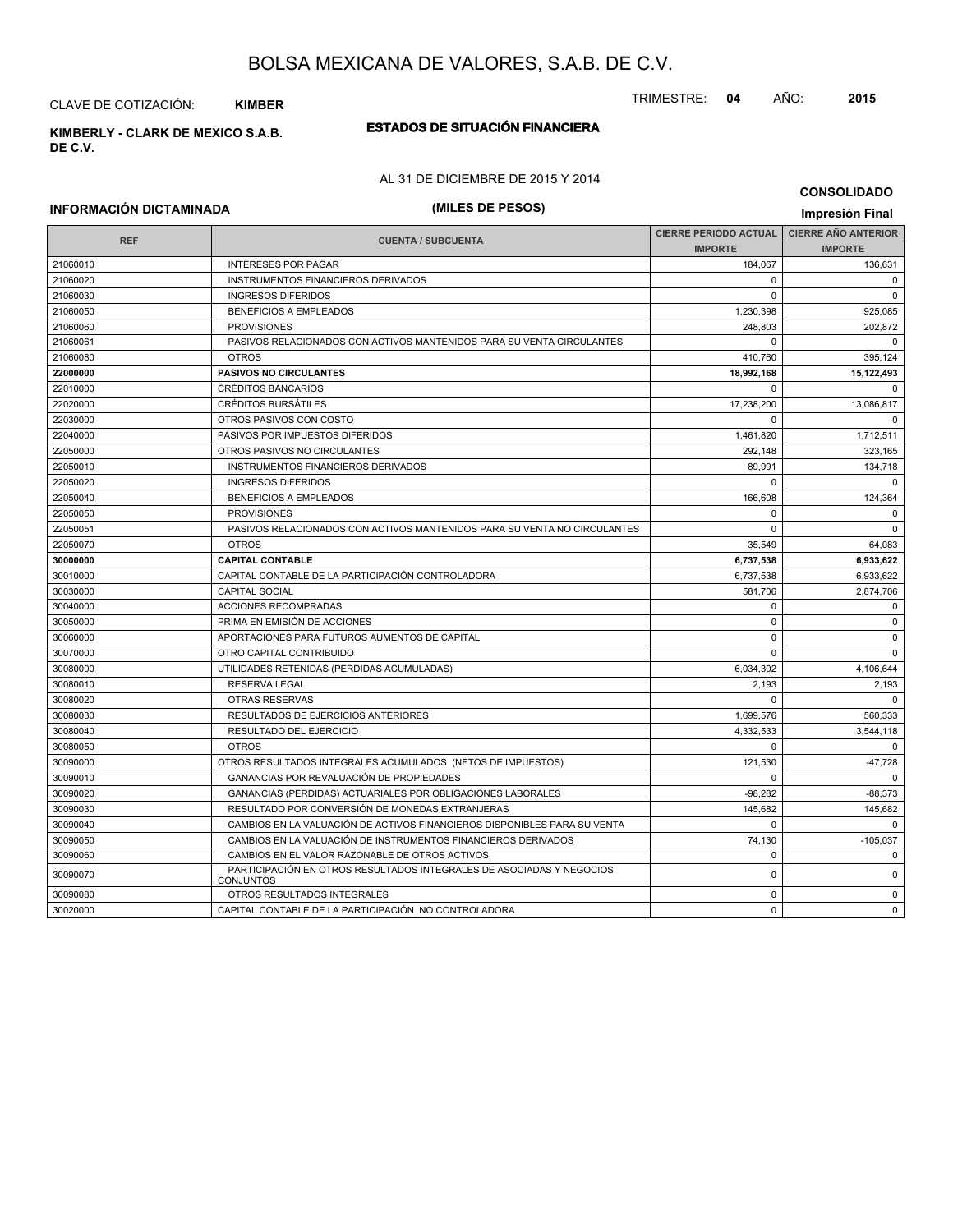CLAVE DE COTIZACIÓN: **KIMBER**

**ESTADOS DE SITUACIÓN FINANCIERA KIMBERLY - CLARK DE MEXICO S.A.B. DE C.V.**

### AL 31 DE DICIEMBRE DE 2015 Y 2014

#### **CONSOLIDADO**

## **INFORMACIÓN DICTAMINADA (MILES DE PESOS) Impresión Final**

| <b>REF</b> | <b>CUENTA / SUBCUENTA</b>                                                                | <b>CIERRE PERIODO ACTUAL</b> | <b>CIERRE AÑO ANTERIOR</b> |
|------------|------------------------------------------------------------------------------------------|------------------------------|----------------------------|
|            |                                                                                          | <b>IMPORTE</b>               | <b>IMPORTE</b>             |
| 21060010   | <b>INTERESES POR PAGAR</b>                                                               | 184,067                      | 136,631                    |
| 21060020   | INSTRUMENTOS FINANCIEROS DERIVADOS                                                       | 0                            | $^{\circ}$                 |
| 21060030   | <b>INGRESOS DIFERIDOS</b>                                                                | $\Omega$                     | $\mathbf 0$                |
| 21060050   | <b>BENEFICIOS A EMPLEADOS</b>                                                            | 1,230,398                    | 925,085                    |
| 21060060   | <b>PROVISIONES</b>                                                                       | 248,803                      | 202,872                    |
| 21060061   | PASIVOS RELACIONADOS CON ACTIVOS MANTENIDOS PARA SU VENTA CIRCULANTES                    | $\mathbf 0$                  | $\mathbf 0$                |
| 21060080   | <b>OTROS</b>                                                                             | 410,760                      | 395,124                    |
| 22000000   | <b>PASIVOS NO CIRCULANTES</b>                                                            | 18,992,168                   | 15,122,493                 |
| 22010000   | <b>CRÉDITOS BANCARIOS</b>                                                                | $\Omega$                     | $\mathbf 0$                |
| 22020000   | <b>CRÉDITOS BURSÁTILES</b>                                                               | 17,238,200                   | 13,086,817                 |
| 22030000   | OTROS PASIVOS CON COSTO                                                                  | $\Omega$                     | $\Omega$                   |
| 22040000   | PASIVOS POR IMPUESTOS DIFERIDOS                                                          | 1,461,820                    | 1,712,511                  |
| 22050000   | OTROS PASIVOS NO CIRCULANTES                                                             | 292,148                      | 323,165                    |
| 22050010   | INSTRUMENTOS FINANCIEROS DERIVADOS                                                       | 89,991                       | 134,718                    |
| 22050020   | <b>INGRESOS DIFERIDOS</b>                                                                | $\Omega$                     | $\mathbf 0$                |
| 22050040   | <b>BENEFICIOS A EMPLEADOS</b>                                                            | 166,608                      | 124,364                    |
| 22050050   | <b>PROVISIONES</b>                                                                       | 0                            | $\mathbf 0$                |
| 22050051   | PASIVOS RELACIONADOS CON ACTIVOS MANTENIDOS PARA SU VENTA NO CIRCULANTES                 | $\Omega$                     | $\mathbf 0$                |
| 22050070   | <b>OTROS</b>                                                                             | 35,549                       | 64,083                     |
| 30000000   | <b>CAPITAL CONTABLE</b>                                                                  | 6,737,538                    | 6,933,622                  |
| 30010000   | CAPITAL CONTABLE DE LA PARTICIPACIÓN CONTROLADORA                                        | 6,737,538                    | 6,933,622                  |
| 30030000   | <b>CAPITAL SOCIAL</b>                                                                    | 581,706                      | 2,874,706                  |
| 30040000   | ACCIONES RECOMPRADAS                                                                     | 0                            | 0                          |
| 30050000   | PRIMA EN EMISIÓN DE ACCIONES                                                             | $\Omega$                     | $\mathbf 0$                |
| 30060000   | APORTACIONES PARA FUTUROS AUMENTOS DE CAPITAL                                            | 0                            | $\mathbf 0$                |
| 30070000   | OTRO CAPITAL CONTRIBUIDO                                                                 | $\mathbf 0$                  | $\mathbf 0$                |
| 30080000   | UTILIDADES RETENIDAS (PERDIDAS ACUMULADAS)                                               | 6,034,302                    | 4,106,644                  |
| 30080010   | <b>RESERVA LEGAL</b>                                                                     | 2,193                        | 2,193                      |
| 30080020   | <b>OTRAS RESERVAS</b>                                                                    | $\Omega$                     | $\Omega$                   |
| 30080030   | RESULTADOS DE EJERCICIOS ANTERIORES                                                      | 1,699,576                    | 560,333                    |
| 30080040   | RESULTADO DEL EJERCICIO                                                                  | 4,332,533                    | 3,544,118                  |
| 30080050   | <b>OTROS</b>                                                                             | $\Omega$                     | $\mathbf 0$                |
| 30090000   | OTROS RESULTADOS INTEGRALES ACUMULADOS (NETOS DE IMPUESTOS)                              | 121,530                      | $-47,728$                  |
| 30090010   | GANANCIAS POR REVALUACIÓN DE PROPIEDADES                                                 | $\Omega$                     | $\Omega$                   |
| 30090020   | GANANCIAS (PERDIDAS) ACTUARIALES POR OBLIGACIONES LABORALES                              | $-98,282$                    | -88,373                    |
| 30090030   | RESULTADO POR CONVERSIÓN DE MONEDAS EXTRANJERAS                                          | 145,682                      | 145,682                    |
| 30090040   | CAMBIOS EN LA VALUACIÓN DE ACTIVOS FINANCIEROS DISPONIBLES PARA SU VENTA                 | $\mathbf 0$                  | $\mathbf 0$                |
| 30090050   | CAMBIOS EN LA VALUACIÓN DE INSTRUMENTOS FINANCIEROS DERIVADOS                            | 74,130                       | $-105,037$                 |
| 30090060   | CAMBIOS EN EL VALOR RAZONABLE DE OTROS ACTIVOS                                           | 0                            | $\mathbf 0$                |
| 30090070   | PARTICIPACIÓN EN OTROS RESULTADOS INTEGRALES DE ASOCIADAS Y NEGOCIOS<br><b>CONJUNTOS</b> | 0                            | $\mathbf 0$                |
| 30090080   | OTROS RESULTADOS INTEGRALES                                                              | 0                            | $\mathbf 0$                |
| 30020000   | CAPITAL CONTABLE DE LA PARTICIPACIÓN NO CONTROLADORA                                     | $\mathbf 0$                  | $\mathbf 0$                |

TRIMESTRE: **04** AÑO: **2015**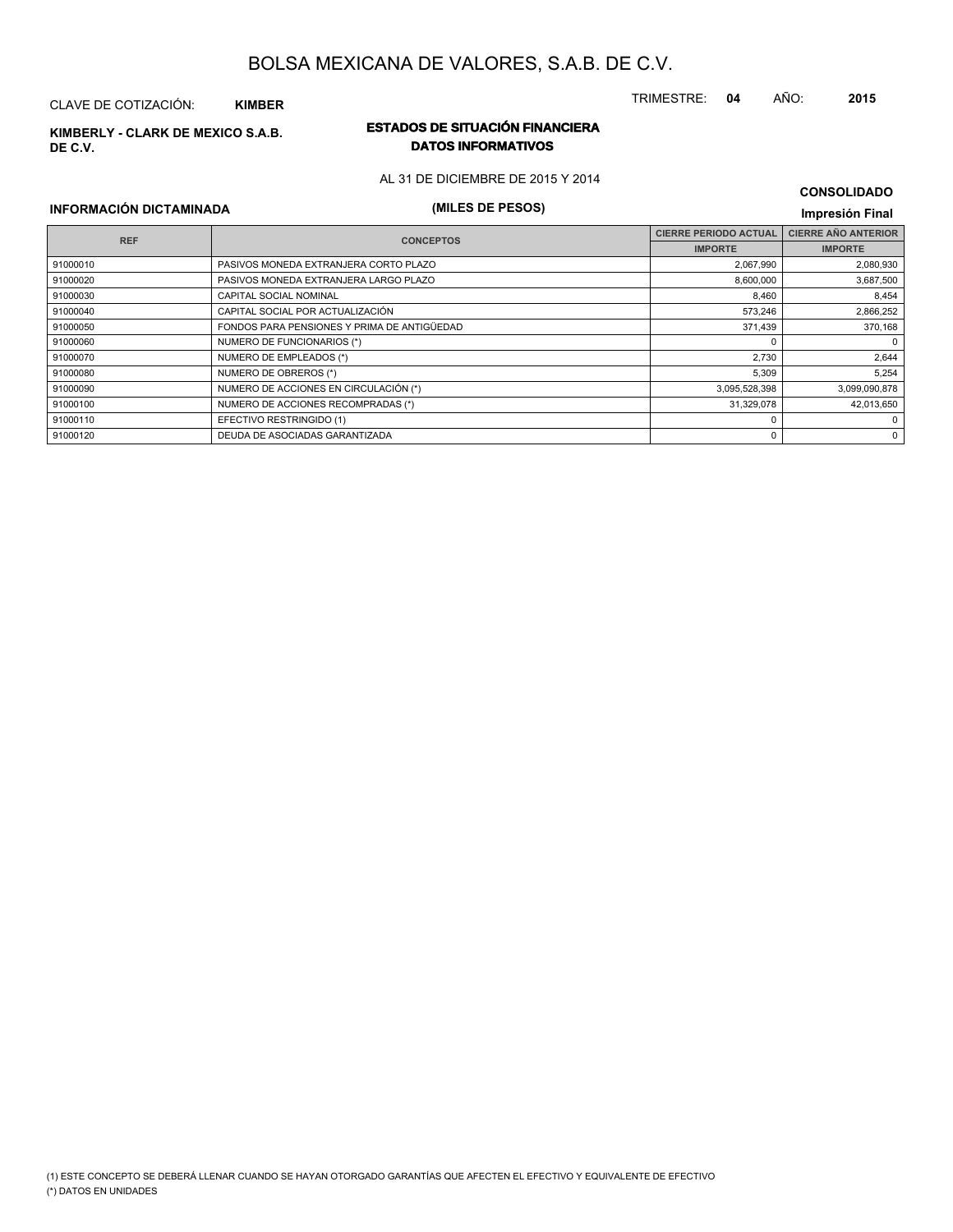## CLAVE DE COTIZACIÓN: **KIMBER**

**DE C.V.**

## **ESTADOS DE SITUACIÓN FINANCIERA KIMBERLY - CLARK DE MEXICO S.A.B. DATOS INFORMATIVOS**

AL 31 DE DICIEMBRE DE 2015 Y 2014

## **INFORMACIÓN DICTAMINADA (MILES DE PESOS) Impresión Final**

| <b>REF</b> | <b>CONCEPTOS</b>                            | <b>CIERRE PERIODO ACTUAL</b> | <b>CIERRE AÑO ANTERIOR</b> |  |
|------------|---------------------------------------------|------------------------------|----------------------------|--|
|            |                                             | <b>IMPORTE</b>               | <b>IMPORTE</b>             |  |
| 91000010   | PASIVOS MONEDA EXTRANJERA CORTO PLAZO       | 2,067,990                    | 2,080,930                  |  |
| 91000020   | PASIVOS MONEDA EXTRANJERA LARGO PLAZO       | 8,600,000                    | 3,687,500                  |  |
| 91000030   | <b>CAPITAL SOCIAL NOMINAL</b>               | 8,460                        | 8,454                      |  |
| 91000040   | CAPITAL SOCIAL POR ACTUALIZACIÓN            | 573,246                      | 2,866,252                  |  |
| 91000050   | FONDOS PARA PENSIONES Y PRIMA DE ANTIGÜEDAD | 371,439                      | 370,168                    |  |
| 91000060   | NUMERO DE FUNCIONARIOS (*)                  |                              | $\mathbf 0$                |  |
| 91000070   | NUMERO DE EMPLEADOS (*)                     | 2.730                        | 2,644                      |  |
| 91000080   | NUMERO DE OBREROS (*)                       | 5,309                        | 5,254                      |  |
| 91000090   | NUMERO DE ACCIONES EN CIRCULACIÓN (*)       | 3,095,528,398                | 3,099,090,878              |  |
| 91000100   | NUMERO DE ACCIONES RECOMPRADAS (*)          | 31,329,078                   | 42,013,650                 |  |
| 91000110   | EFECTIVO RESTRINGIDO (1)                    |                              | 0                          |  |
| 91000120   | DEUDA DE ASOCIADAS GARANTIZADA              | 0                            | $\mathbf 0$                |  |

**CONSOLIDADO**

TRIMESTRE: **04** AÑO: **2015**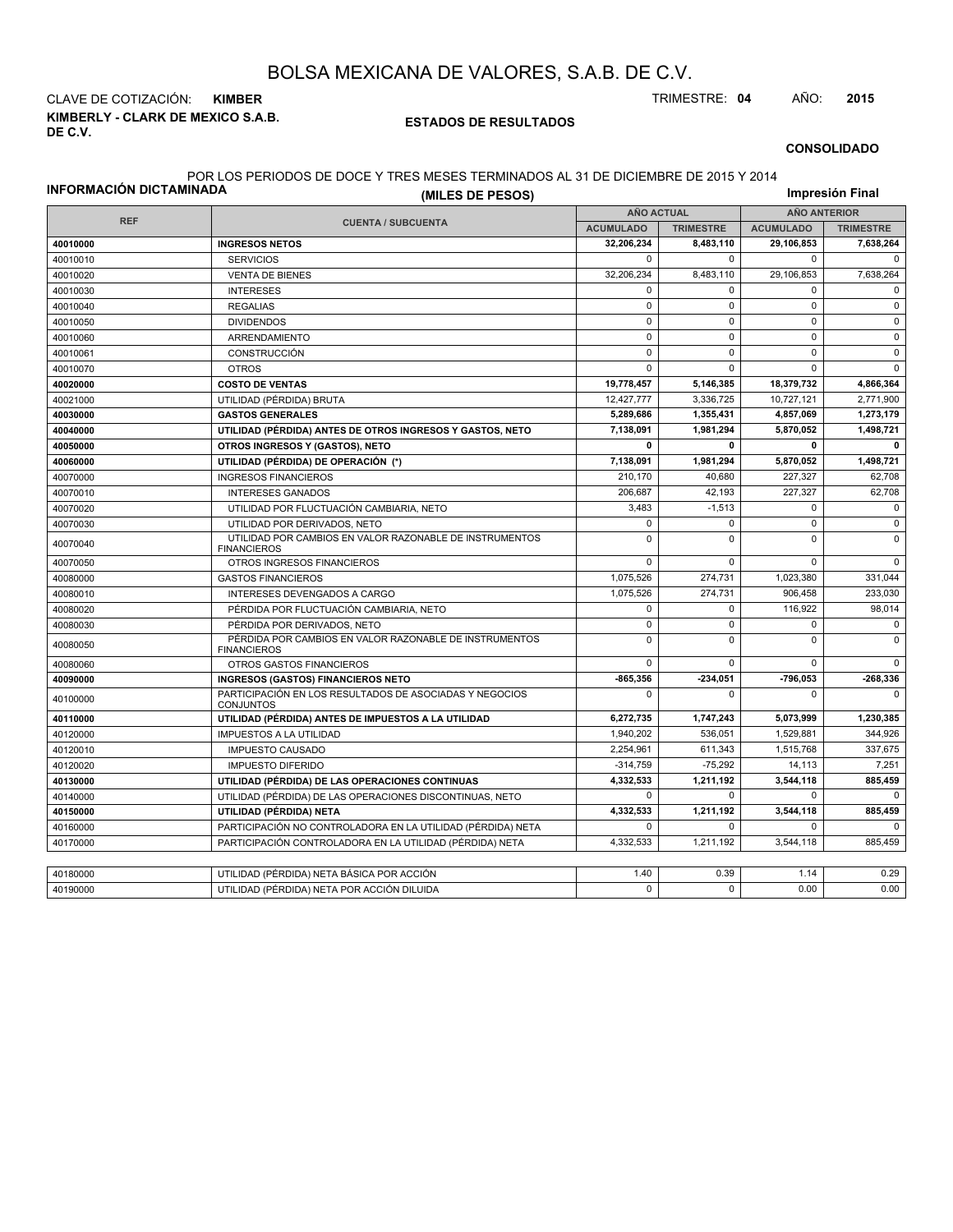**KIMBERLY - CLARK DE MEXICO S.A.B. DE C.V.** CLAVE DE COTIZACIÓN: **KIMBER** TRIMESTRE: **04** AÑO: **2015**

#### **ESTADOS DE RESULTADOS**

**CONSOLIDADO**

#### POR LOS PERIODOS DE DOCE Y TRES MESES TERMINADOS AL 31 DE DICIEMBRE DE 2015 Y 2014

| INFORMACIÓN DICTAMINADA |                                                                               | Impresión Final   |                  |                     |                  |
|-------------------------|-------------------------------------------------------------------------------|-------------------|------------------|---------------------|------------------|
|                         |                                                                               | <b>AÑO ACTUAL</b> |                  | <b>AÑO ANTERIOR</b> |                  |
| <b>REF</b>              | <b>CUENTA / SUBCUENTA</b>                                                     | <b>ACUMULADO</b>  | <b>TRIMESTRE</b> | <b>ACUMULADO</b>    | <b>TRIMESTRE</b> |
| 40010000                | <b>INGRESOS NETOS</b>                                                         | 32,206,234        | 8,483,110        | 29,106,853          | 7,638,264        |
| 40010010                | <b>SERVICIOS</b>                                                              | $\mathbf 0$       | $\mathbf 0$      | $\mathbf 0$         | $\mathbf 0$      |
| 40010020                | <b>VENTA DE BIENES</b>                                                        | 32,206,234        | 8,483,110        | 29,106,853          | 7,638,264        |
| 40010030                | <b>INTERESES</b>                                                              | $\mathbf 0$       | $\mathbf 0$      | $\mathbf 0$         | $\mathbf 0$      |
| 40010040                | <b>REGALIAS</b>                                                               | $\mathsf 0$       | $\mathbf 0$      | $\pmb{0}$           | $\pmb{0}$        |
| 40010050                | <b>DIVIDENDOS</b>                                                             | $\mathbf 0$       | $\Omega$         | $\mathbf 0$         | $\mathbf 0$      |
| 40010060                | ARRENDAMIENTO                                                                 | $\mathsf 0$       | $\mathbf 0$      | $\mathbf 0$         | $\pmb{0}$        |
| 40010061                | CONSTRUCCIÓN                                                                  | $\mathbf 0$       | $\mathbf 0$      | $\mathbf 0$         | $\mathbf 0$      |
| 40010070                | <b>OTROS</b>                                                                  | $\mathbf 0$       | $\Omega$         | $\Omega$            | $\mathbf 0$      |
| 40020000                | <b>COSTO DE VENTAS</b>                                                        | 19,778,457        | 5,146,385        | 18,379,732          | 4,866,364        |
| 40021000                | UTILIDAD (PÉRDIDA) BRUTA                                                      | 12,427,777        | 3,336,725        | 10,727,121          | 2,771,900        |
| 40030000                | <b>GASTOS GENERALES</b>                                                       | 5,289,686         | 1,355,431        | 4,857,069           | 1,273,179        |
| 40040000                | UTILIDAD (PÉRDIDA) ANTES DE OTROS INGRESOS Y GASTOS, NETO                     | 7,138,091         | 1,981,294        | 5,870,052           | 1,498,721        |
| 40050000                | OTROS INGRESOS Y (GASTOS), NETO                                               | $\mathbf 0$       | $\mathbf{0}$     | 0                   | $\mathbf 0$      |
| 40060000                | UTILIDAD (PÉRDIDA) DE OPERACIÓN (*)                                           | 7,138,091         | 1,981,294        | 5,870,052           | 1,498,721        |
| 40070000                | <b>INGRESOS FINANCIEROS</b>                                                   | 210,170           | 40,680           | 227,327             | 62,708           |
| 40070010                | <b>INTERESES GANADOS</b>                                                      | 206,687           | 42.193           | 227,327             | 62,708           |
| 40070020                | UTILIDAD POR FLUCTUACIÓN CAMBIARIA, NETO                                      | 3,483             | $-1,513$         | 0                   | $\mathbf 0$      |
| 40070030                | UTILIDAD POR DERIVADOS, NETO                                                  | $\mathsf 0$       | $\Omega$         | $\pmb{0}$           | $\mathsf 0$      |
| 40070040                | UTILIDAD POR CAMBIOS EN VALOR RAZONABLE DE INSTRUMENTOS<br><b>FINANCIEROS</b> | 0                 | $\Omega$         | $\mathbf 0$         | 0                |
| 40070050                | OTROS INGRESOS FINANCIEROS                                                    | $\mathbf 0$       | $\Omega$         | $\Omega$            | $\Omega$         |
| 40080000                | <b>GASTOS FINANCIEROS</b>                                                     | 1,075,526         | 274,731          | 1,023,380           | 331,044          |
| 40080010                | INTERESES DEVENGADOS A CARGO                                                  | 1,075,526         | 274,731          | 906,458             | 233,030          |
| 40080020                | PÉRDIDA POR FLUCTUACIÓN CAMBIARIA, NETO                                       | $\mathbf{0}$      | $\mathbf 0$      | 116,922             | 98,014           |
| 40080030                | PÉRDIDA POR DERIVADOS, NETO                                                   | $\mathsf 0$       | $\mathbf 0$      | $\mathbf 0$         | $\mathbf 0$      |
| 40080050                | PÉRDIDA POR CAMBIOS EN VALOR RAZONABLE DE INSTRUMENTOS<br><b>FINANCIEROS</b>  | $\mathbf 0$       | $\Omega$         | $\Omega$            | $\mathbf{0}$     |
| 40080060                | OTROS GASTOS FINANCIEROS                                                      | $\mathbf 0$       | $\mathbf 0$      | $\mathbf 0$         | 0                |
| 40090000                | <b>INGRESOS (GASTOS) FINANCIEROS NETO</b>                                     | -865,356          | -234,051         | -796,053            | -268,336         |
| 40100000                | PARTICIPACIÓN EN LOS RESULTADOS DE ASOCIADAS Y NEGOCIOS<br><b>CONJUNTOS</b>   | $\mathbf 0$       | $\Omega$         | $\Omega$            | $\mathbf 0$      |
| 40110000                | UTILIDAD (PÉRDIDA) ANTES DE IMPUESTOS A LA UTILIDAD                           | 6,272,735         | 1,747,243        | 5,073,999           | 1,230,385        |
| 40120000                | <b>IMPUESTOS A LA UTILIDAD</b>                                                | 1,940,202         | 536.051          | 1,529,881           | 344,926          |
| 40120010                | <b>IMPUESTO CAUSADO</b>                                                       | 2,254,961         | 611,343          | 1,515,768           | 337,675          |
| 40120020                | <b>IMPUESTO DIFERIDO</b>                                                      | $-314,759$        | $-75,292$        | 14,113              | 7,251            |
| 40130000                | UTILIDAD (PÉRDIDA) DE LAS OPERACIONES CONTINUAS                               | 4,332,533         | 1,211,192        | 3,544,118           | 885,459          |
| 40140000                | UTILIDAD (PÉRDIDA) DE LAS OPERACIONES DISCONTINUAS, NETO                      | $\pmb{0}$         | $\mathbf 0$      | $\mathbf 0$         | $\mathbf 0$      |
| 40150000                | UTILIDAD (PÉRDIDA) NETA                                                       | 4,332,533         | 1,211,192        | 3,544,118           | 885,459          |
| 40160000                | PARTICIPACIÓN NO CONTROLADORA EN LA UTILIDAD (PÉRDIDA) NETA                   | $\mathsf 0$       | $\mathbf 0$      | $\mathbf 0$         | $\Omega$         |
| 40170000                | PARTICIPACIÓN CONTROLADORA EN LA UTILIDAD (PÉRDIDA) NETA                      | 4,332,533         | 1,211,192        | 3.544.118           | 885.459          |
|                         |                                                                               |                   |                  |                     |                  |
| 40180000                | UTILIDAD (PÉRDIDA) NETA BÁSICA POR ACCIÓN                                     | 1.40              | 0.39             | 1.14                | 0.29             |
| 40190000                | UTILIDAD (PÉRDIDA) NETA POR ACCIÓN DILUIDA                                    | $\Omega$          | $\Omega$         | 0.00                | 0.00             |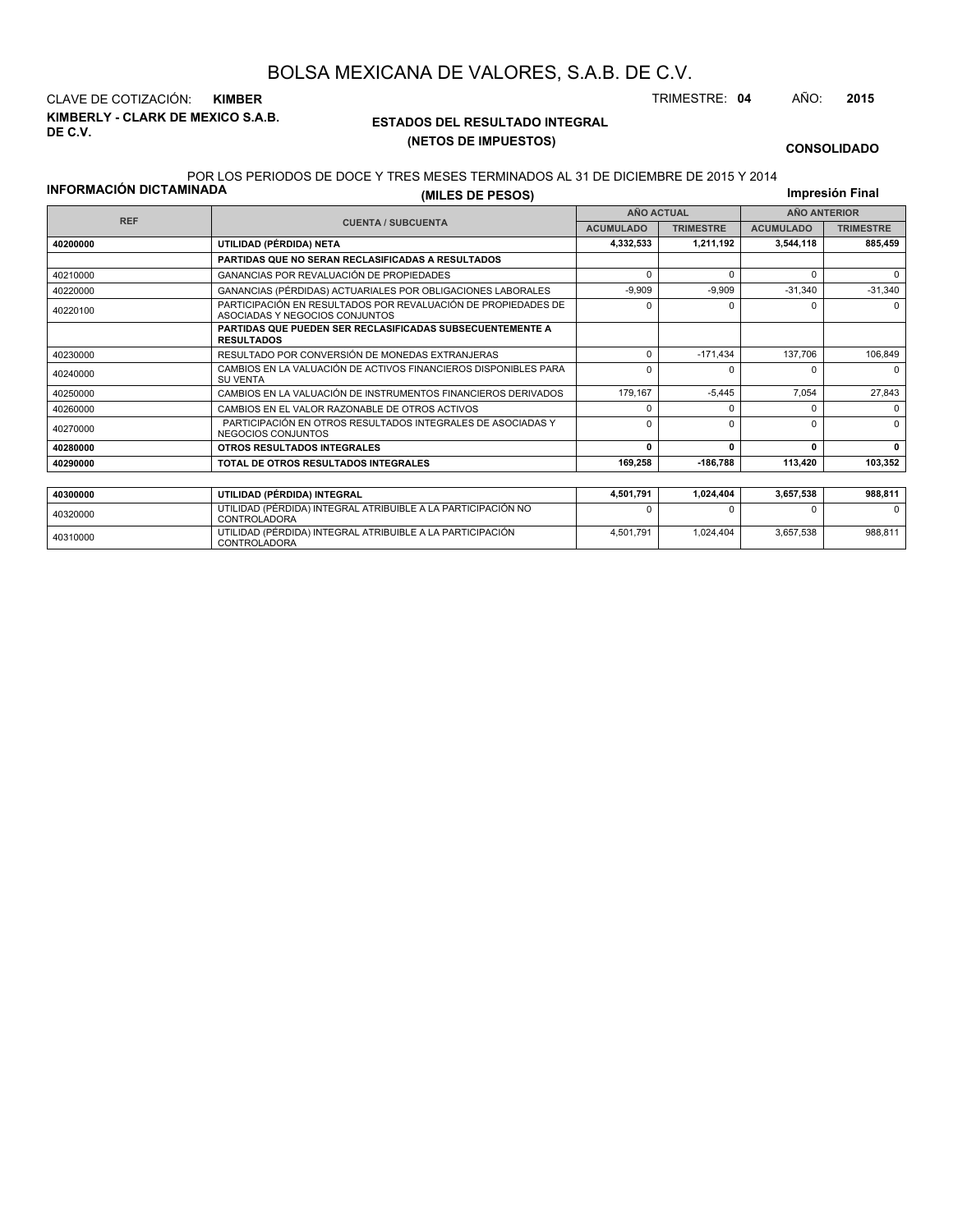**KIMBERLY - CLARK DE MEXICO S.A.B. DE C.V.** CLAVE DE COTIZACIÓN: **KIMBER** TRIMESTRE: **04** AÑO: **2015**

## **ESTADOS DEL RESULTADO INTEGRAL (NETOS DE IMPUESTOS)**

**CONSOLIDADO**

### **INFORMACIÓN DICTAMINADA** POR LOS PERIODOS DE DOCE Y TRES MESES TERMINADOS AL 31 DE DICIEMBRE DE 2015 Y 2014

| (MILES DE PESOS) | S MESES TERMINADOS AL 31 DE DICIEMBRE DE 2015 Y 2014. | Impresión Final |
|------------------|-------------------------------------------------------|-----------------|
|                  |                                                       |                 |

|          | <b>REF</b><br><b>CUENTA / SUBCUENTA</b>                                                         |                  | <b>AÑO ACTUAL</b> | <b>AÑO ANTERIOR</b> |                  |  |
|----------|-------------------------------------------------------------------------------------------------|------------------|-------------------|---------------------|------------------|--|
|          |                                                                                                 | <b>ACUMULADO</b> | <b>TRIMESTRE</b>  | <b>ACUMULADO</b>    | <b>TRIMESTRE</b> |  |
| 40200000 | UTILIDAD (PÉRDIDA) NETA                                                                         | 4,332,533        | 1,211,192         | 3,544,118           | 885,459          |  |
|          | PARTIDAS QUE NO SERAN RECLASIFICADAS A RESULTADOS                                               |                  |                   |                     |                  |  |
| 40210000 | GANANCIAS POR REVALUACIÓN DE PROPIEDADES                                                        | $\Omega$         | $\Omega$          |                     | 0                |  |
| 40220000 | GANANCIAS (PÉRDIDAS) ACTUARIALES POR OBLIGACIONES LABORALES                                     | $-9.909$         | $-9.909$          | $-31.340$           | $-31,340$        |  |
| 40220100 | PARTICIPACIÓN EN RESULTADOS POR REVALUACIÓN DE PROPIEDADES DE<br>ASOCIADAS Y NEGOCIOS CONJUNTOS | $\Omega$         | 0                 |                     | $\Omega$         |  |
|          | PARTIDAS QUE PUEDEN SER RECLASIFICADAS SUBSECUENTEMENTE A<br><b>RESULTADOS</b>                  |                  |                   |                     |                  |  |
| 40230000 | RESULTADO POR CONVERSIÓN DE MONEDAS EXTRANJERAS                                                 | $\Omega$         | $-171,434$        | 137,706             | 106,849          |  |
| 40240000 | CAMBIOS EN LA VALUACIÓN DE ACTIVOS FINANCIEROS DISPONIBLES PARA<br><b>SU VENTA</b>              | $\Omega$         |                   |                     | <sup>0</sup>     |  |
| 40250000 | CAMBIOS EN LA VALUACIÓN DE INSTRUMENTOS FINANCIEROS DERIVADOS                                   | 179,167          | $-5.445$          | 7.054               | 27,843           |  |
| 40260000 | CAMBIOS EN EL VALOR RAZONABLE DE OTROS ACTIVOS                                                  | n                | $\Omega$          |                     | $\Omega$         |  |
| 40270000 | PARTICIPACIÓN EN OTROS RESULTADOS INTEGRALES DE ASOCIADAS Y<br>NEGOCIOS CONJUNTOS               | $\Omega$         | <sup>0</sup>      |                     | $\Omega$         |  |
| 40280000 | OTROS RESULTADOS INTEGRALES                                                                     | 0                | $\Omega$          |                     | 0                |  |
| 40290000 | TOTAL DE OTROS RESULTADOS INTEGRALES                                                            | 169,258          | -186,788          | 113,420             | 103,352          |  |
|          |                                                                                                 |                  |                   |                     |                  |  |
| 40300000 | UTILIDAD (PÉRDIDA) INTEGRAL                                                                     | 4,501,791        | 1,024,404         | 3,657,538           | 988,811          |  |
|          | UTILIDAD (DÉDDIDA) INTECDAL ATOIDUIDLE A LA DADTICIDACIÓN NO                                    | $\sim$           | $\sim$            |                     | $\sim$           |  |

| 40300000 | UTILIDAD (PÉRDIDA) INTEGRAL                                                  | 4.501.791 | 1.024.404 | 3.657.538 | 988.811 |
|----------|------------------------------------------------------------------------------|-----------|-----------|-----------|---------|
| 40320000 | UTILIDAD (PÉRDIDA) INTEGRAL ATRIBUIBLE A LA PARTICIPACIÓN NO<br>CONTROLADORA |           |           |           |         |
| 40310000 | UTILIDAD (PERDIDA) INTEGRAL ATRIBUIBLE A LA PARTICIPACIÓN<br>CONTROLADORA    | 4.501.791 | 1.024.404 | 3.657.538 | 988.811 |
|          |                                                                              |           |           |           |         |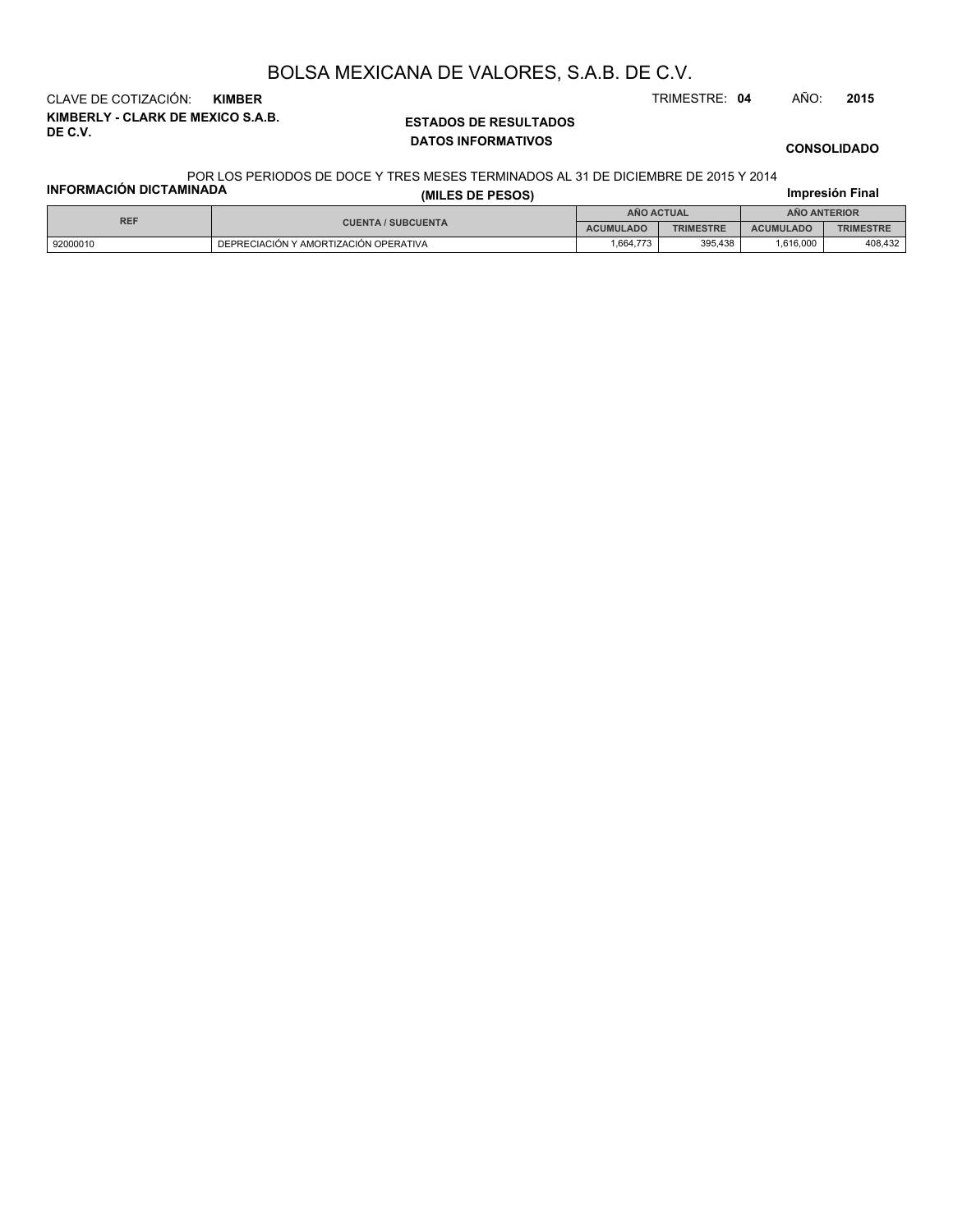**KIMBERLY - CLARK DE MEXICO S.A.B. DE C.V.** CLAVE DE COTIZACIÓN: **KIMBER** TRIMESTRE: **04** AÑO: **2015**

### **ESTADOS DE RESULTADOS DATOS INFORMATIVOS**

**CONSOLIDADO**

#### POR LOS PERIODOS DE DOCE Y TRES MESES TERMINADOS AL 31 DE DICIEMBRE DE 2015 Y 2014

| <b>INFORMACIÓN DICTAMINADA</b> |                                       | Impresión Final  |                  |                     |                  |  |
|--------------------------------|---------------------------------------|------------------|------------------|---------------------|------------------|--|
| <b>REF</b>                     |                                       | ANO ACTUAL       |                  | <b>ANO ANTERIOR</b> |                  |  |
|                                | <b>CUENTA / SUBCUENTA</b>             | <b>ACUMULADO</b> | <b>TRIMESTRE</b> | <b>ACUMULADO</b>    | <b>TRIMESTRE</b> |  |
| 92000010                       | DEPRECIACIÓN Y AMORTIZACIÓN OPERATIVA | 1.664.773        | 395.438          | 1.616.000           | 408,432          |  |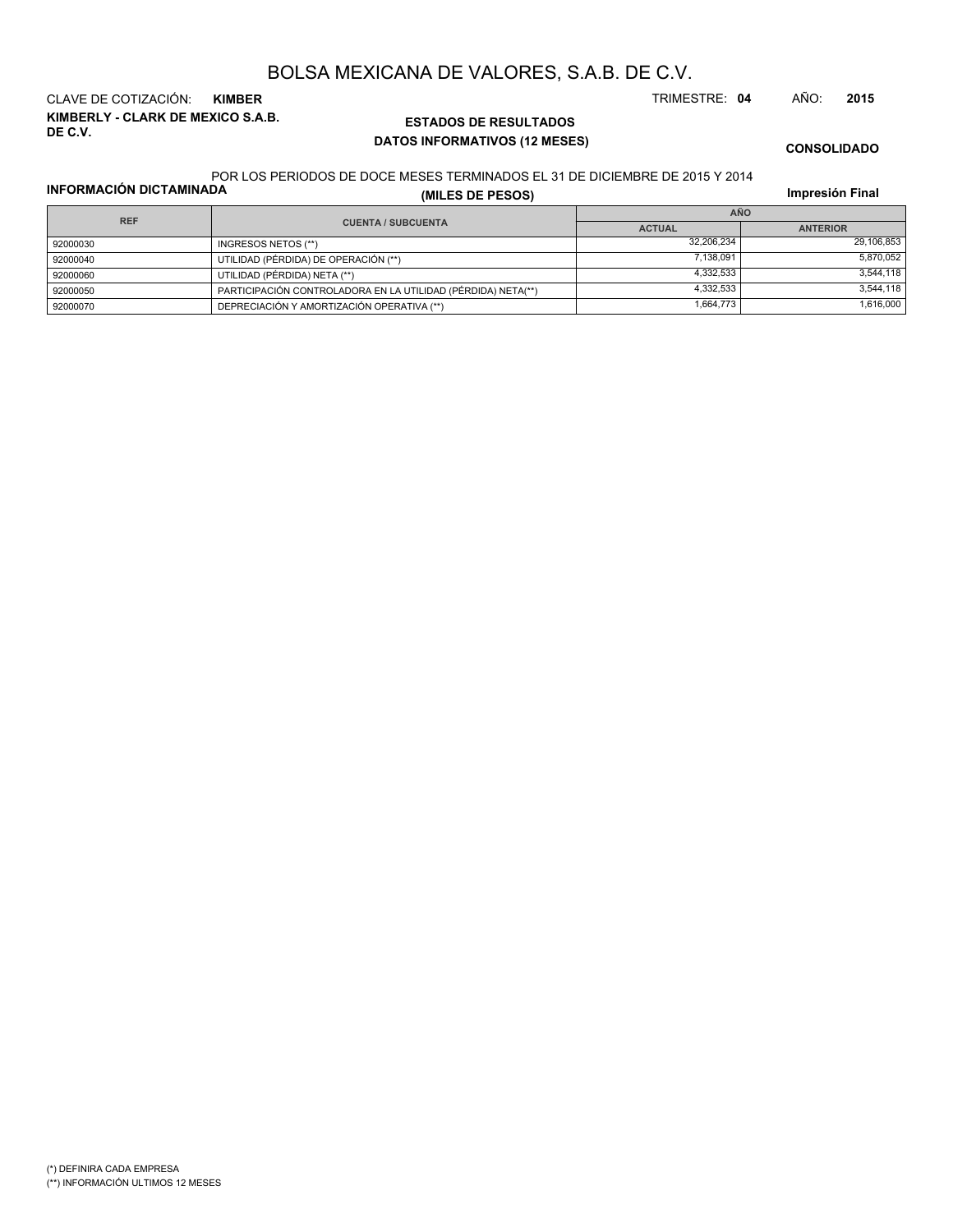**KIMBERLY - CLARK DE MEXICO S.A.B. DE C.V.** CLAVE DE COTIZACIÓN: **KIMBER** TRIMESTRE: **04** AÑO: **2015**

## **ESTADOS DE RESULTADOS DATOS INFORMATIVOS (12 MESES)**

**CONSOLIDADO**

#### POR LOS PERIODOS DE DOCE MESES TERMINADOS EL 31 DE DICIEMBRE DE 2015 Y 2014

**INFORMACIÓN DICTAMINADA**

**(MILES DE PESOS)**

**Impresión Final**

| <b>REF</b> |                                                              | <b>AÑO</b>    |                 |  |  |
|------------|--------------------------------------------------------------|---------------|-----------------|--|--|
|            | <b>CUENTA / SUBCUENTA</b>                                    | <b>ACTUAL</b> | <b>ANTERIOR</b> |  |  |
| 92000030   | INGRESOS NETOS (**)                                          | 32,206,234    | 29,106,853      |  |  |
| 92000040   | UTILIDAD (PÉRDIDA) DE OPERACIÓN (**)                         | 7.138.091     | 5.870.052       |  |  |
| 92000060   | UTILIDAD (PÉRDIDA) NETA (**)                                 | 4.332.533     | 3.544.118       |  |  |
| 92000050   | PARTICIPACIÓN CONTROLADORA EN LA UTILIDAD (PÉRDIDA) NETA(**) | 4.332.533     | 3.544.118       |  |  |
| 92000070   | DEPRECIACIÓN Y AMORTIZACIÓN OPERATIVA (**)                   | 1,664,773     | 1.616.000       |  |  |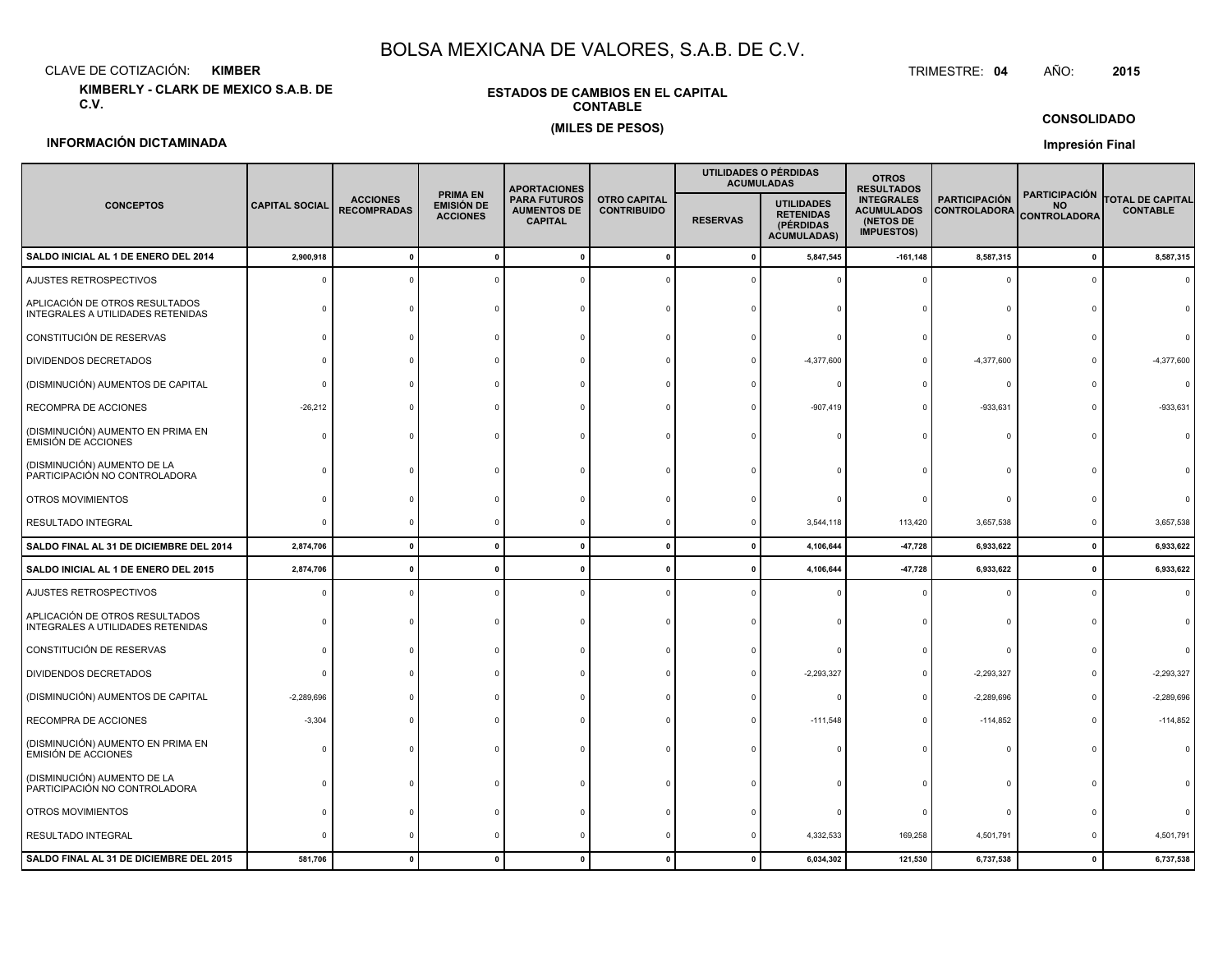CLAVE DE COTIZACIÓN:**KIMBER**: KIMBER TRIMESTRE:

**KIMBERLY - CLARK DE MEXICO S.A.B. DE C.V.**

### **ESTADOS DE CAMBIOS EN EL CAPITALCONTABLE(MILES DE PESOS)**

#### TRIMESTRE: 04 AÑO: **<sup>2015</sup>**

**CONSOLIDADO**

### **INFORMACIÓN DICTAMINADA**

**Impresión Final**

|                                                                     |                       |                                       |                                                         | <b>APORTACIONES</b>                                         |                                           |              | UTILIDADES O PÉRDIDAS<br><b>ACUMULADAS</b>                               | <b>OTROS</b><br><b>RESULTADOS</b>                                        |                                             |                                                          |                                            |
|---------------------------------------------------------------------|-----------------------|---------------------------------------|---------------------------------------------------------|-------------------------------------------------------------|-------------------------------------------|--------------|--------------------------------------------------------------------------|--------------------------------------------------------------------------|---------------------------------------------|----------------------------------------------------------|--------------------------------------------|
| <b>CONCEPTOS</b>                                                    | <b>CAPITAL SOCIAL</b> | <b>ACCIONES</b><br><b>RECOMPRADAS</b> | <b>PRIMA EN</b><br><b>EMISIÓN DE</b><br><b>ACCIONES</b> | <b>PARA FUTUROS</b><br><b>AUMENTOS DE</b><br><b>CAPITAL</b> | <b>OTRO CAPITAL</b><br><b>CONTRIBUIDO</b> |              | <b>UTILIDADES</b><br><b>RETENIDAS</b><br>(PÉRDIDAS<br><b>ACUMULADAS)</b> | <b>INTEGRALES</b><br><b>ACUMULADOS</b><br>(NETOS DE<br><b>IMPUESTOS)</b> | <b>PARTICIPACIÓN</b><br><b>CONTROLADORA</b> | <b>PARTICIPACIÓN</b><br><b>NO</b><br><b>CONTROLADORA</b> | <b>TOTAL DE CAPITAL</b><br><b>CONTABLE</b> |
| SALDO INICIAL AL 1 DE ENERO DEL 2014                                | 2,900,918             | $\mathbf{0}$                          |                                                         |                                                             | $\mathbf{0}$                              | $\mathbf{0}$ | 5,847,545                                                                | $-161, 148$                                                              | 8,587,315                                   | $\pmb{0}$                                                | 8,587,315                                  |
| AJUSTES RETROSPECTIVOS                                              |                       |                                       |                                                         |                                                             |                                           |              |                                                                          | $\Omega$                                                                 | C                                           | $\Omega$                                                 |                                            |
| APLICACIÓN DE OTROS RESULTADOS<br>INTEGRALES A UTILIDADES RETENIDAS |                       |                                       |                                                         |                                                             |                                           |              |                                                                          |                                                                          |                                             |                                                          |                                            |
| CONSTITUCIÓN DE RESERVAS                                            |                       |                                       |                                                         |                                                             |                                           |              |                                                                          |                                                                          | C                                           |                                                          |                                            |
| DIVIDENDOS DECRETADOS                                               |                       |                                       |                                                         |                                                             |                                           |              | $-4,377,600$                                                             | $\Omega$                                                                 | $-4,377,600$                                |                                                          | $-4,377,600$                               |
| (DISMINUCIÓN) AUMENTOS DE CAPITAL                                   |                       |                                       |                                                         |                                                             |                                           |              |                                                                          | $\Omega$                                                                 | $\Omega$                                    |                                                          | $\Omega$                                   |
| RECOMPRA DE ACCIONES                                                | $-26,212$             |                                       |                                                         |                                                             |                                           |              | $-907,419$                                                               | $\Omega$                                                                 | $-933,631$                                  |                                                          | $-933,631$                                 |
| (DISMINUCIÓN) AUMENTO EN PRIMA EN<br><b>EMISIÓN DE ACCIONES</b>     | $\Omega$              |                                       |                                                         |                                                             |                                           |              |                                                                          | $\Omega$                                                                 | c                                           |                                                          |                                            |
| (DISMINUCIÓN) AUMENTO DE LA<br>PARTICIPACIÓN NO CONTROLADORA        |                       |                                       |                                                         |                                                             |                                           |              |                                                                          |                                                                          |                                             |                                                          |                                            |
| OTROS MOVIMIENTOS                                                   |                       |                                       |                                                         |                                                             |                                           |              |                                                                          |                                                                          | $\Omega$                                    |                                                          |                                            |
| RESULTADO INTEGRAL                                                  | $\Omega$              |                                       |                                                         |                                                             |                                           | $\Omega$     | 3,544,118                                                                | 113,420                                                                  | 3,657,538                                   | $\circ$                                                  | 3,657,538                                  |
| SALDO FINAL AL 31 DE DICIEMBRE DEL 2014                             | 2,874,706             | $\mathbf{0}$                          | $\Omega$                                                | $\mathbf{0}$                                                | $\mathbf{0}$                              | $\Omega$     | 4,106,644                                                                | $-47,728$                                                                | 6,933,622                                   | $\mathbf{0}$                                             | 6,933,622                                  |
| SALDO INICIAL AL 1 DE ENERO DEL 2015                                | 2,874,706             |                                       |                                                         |                                                             | $\mathbf{r}$                              |              | 4,106,644                                                                | $-47,728$                                                                | 6,933,622                                   | $\mathbf 0$                                              | 6,933,622                                  |
| AJUSTES RETROSPECTIVOS                                              |                       |                                       |                                                         |                                                             |                                           |              |                                                                          |                                                                          | $\Omega$                                    | $\Omega$                                                 |                                            |
| APLICACIÓN DE OTROS RESULTADOS<br>INTEGRALES A UTILIDADES RETENIDAS |                       |                                       |                                                         |                                                             |                                           |              |                                                                          |                                                                          |                                             |                                                          |                                            |
| CONSTITUCIÓN DE RESERVAS                                            | $\Omega$              |                                       |                                                         |                                                             |                                           |              |                                                                          |                                                                          | $\Omega$                                    |                                                          |                                            |
| DIVIDENDOS DECRETADOS                                               |                       |                                       |                                                         |                                                             |                                           |              | $-2,293,327$                                                             | $\Omega$                                                                 | $-2,293,327$                                |                                                          | $-2,293,327$                               |
| (DISMINUCIÓN) AUMENTOS DE CAPITAL                                   | $-2,289,696$          |                                       |                                                         |                                                             |                                           |              |                                                                          | $\Omega$                                                                 | $-2,289,696$                                |                                                          | $-2,289,696$                               |
| RECOMPRA DE ACCIONES                                                | $-3,304$              |                                       |                                                         |                                                             |                                           |              | $-111,548$                                                               | $\Omega$                                                                 | $-114,852$                                  |                                                          | $-114,852$                                 |
| (DISMINUCIÓN) AUMENTO EN PRIMA EN<br>EMISIÓN DE ACCIONES            |                       |                                       |                                                         |                                                             |                                           |              |                                                                          |                                                                          |                                             |                                                          |                                            |
| (DISMINUCIÓN) AUMENTO DE LA<br>PARTICIPACIÓN NO CONTROLADORA        | $\Omega$              |                                       |                                                         |                                                             |                                           |              |                                                                          |                                                                          |                                             |                                                          |                                            |
| OTROS MOVIMIENTOS                                                   |                       |                                       |                                                         |                                                             |                                           |              |                                                                          |                                                                          |                                             |                                                          |                                            |
| RESULTADO INTEGRAL                                                  |                       |                                       |                                                         |                                                             |                                           |              | 4,332,533                                                                | 169,258                                                                  | 4,501,791                                   |                                                          | 4,501,791                                  |
| SALDO FINAL AL 31 DE DICIEMBRE DEL 2015                             | 581,706               |                                       |                                                         |                                                             |                                           |              | 6,034,302                                                                | 121,530                                                                  | 6,737,538                                   | $\mathbf 0$                                              | 6,737,538                                  |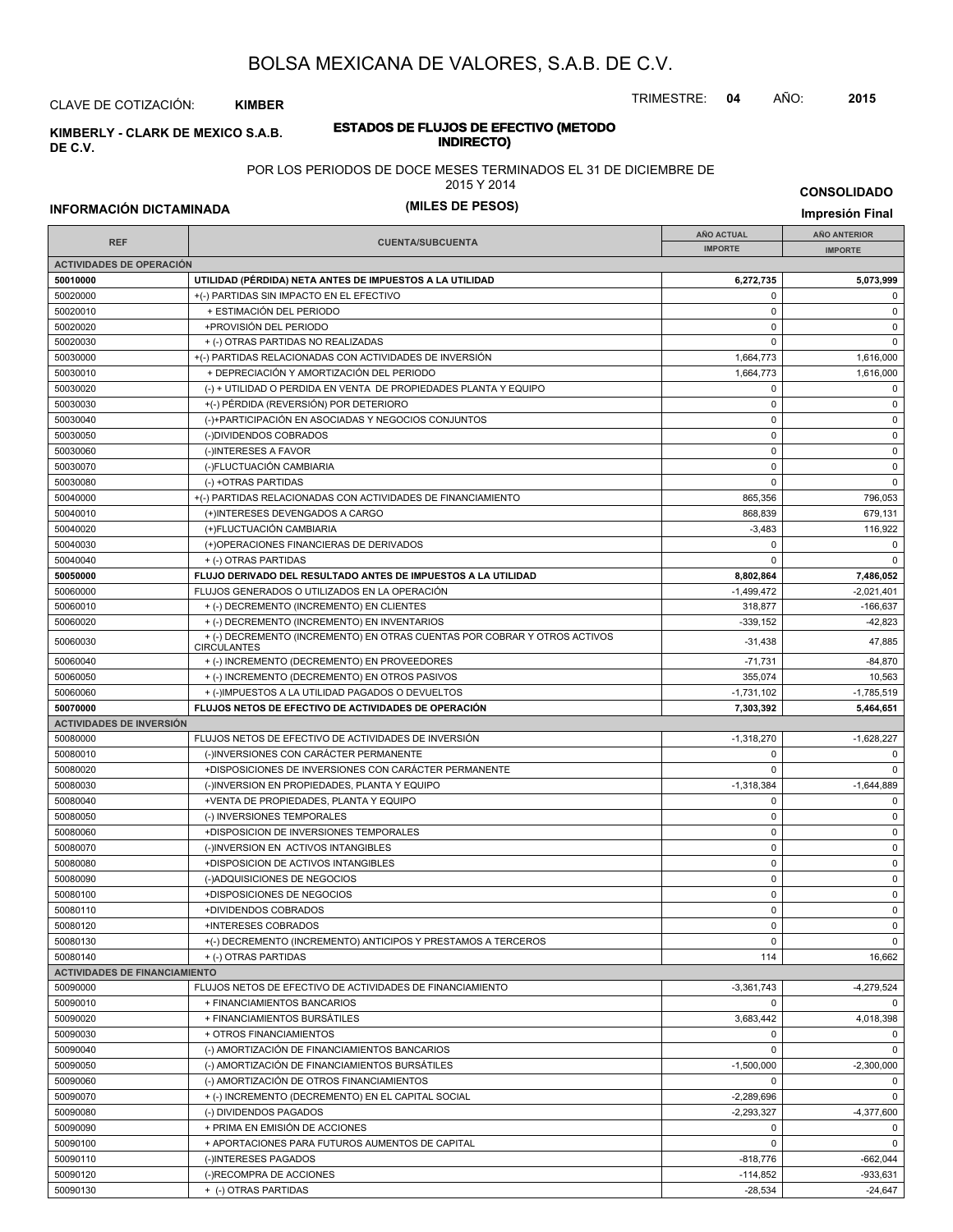TRIMESTRE: **04** AÑO: **2015**

**INDIRECTO) KIMBERLY - CLARK DE MEXICO S.A.B. DE C.V.**

CLAVE DE COTIZACIÓN: **KIMBER**

# **ESTADOS DE FLUJOS DE EFECTIVO (METODO**

POR LOS PERIODOS DE DOCE MESES TERMINADOS EL 31 DE DICIEMBRE DE

2015 Y 2014

**INFORMACIÓN DICTAMINADA (MILES DE PESOS) Impresión Final**

**CONSOLIDADO**

| <b>REF</b>                           | <b>CUENTA/SUBCUENTA</b>                                                                         | <b>AÑO ACTUAL</b><br><b>IMPORTE</b> | <b>AÑO ANTERIOR</b><br><b>IMPORTE</b> |
|--------------------------------------|-------------------------------------------------------------------------------------------------|-------------------------------------|---------------------------------------|
| <b>ACTIVIDADES DE OPERACIÓN</b>      |                                                                                                 |                                     |                                       |
| 50010000                             | UTILIDAD (PÉRDIDA) NETA ANTES DE IMPUESTOS A LA UTILIDAD                                        | 6,272,735                           | 5,073,999                             |
| 50020000                             | +(-) PARTIDAS SIN IMPACTO EN EL EFECTIVO                                                        | $\mathbf 0$                         | 0                                     |
| 50020010                             | + ESTIMACIÓN DEL PERIODO                                                                        | $\mathbf 0$                         | $\mathbf 0$                           |
| 50020020                             | +PROVISIÓN DEL PERIODO                                                                          | $\mathbf 0$                         | 0                                     |
| 50020030                             | + (-) OTRAS PARTIDAS NO REALIZADAS                                                              | $\Omega$                            | $\mathbf 0$                           |
| 50030000                             | +(-) PARTIDAS RELACIONADAS CON ACTIVIDADES DE INVERSIÓN                                         | 1,664,773                           | 1,616,000                             |
| 50030010                             | + DEPRECIACIÓN Y AMORTIZACIÓN DEL PERIODO                                                       | 1,664,773                           | 1,616,000                             |
| 50030020                             | (-) + UTILIDAD O PERDIDA EN VENTA DE PROPIEDADES PLANTA Y EQUIPO                                | $\mathbf 0$                         | $\mathbf 0$                           |
| 50030030                             | +(-) PÉRDIDA (REVERSIÓN) POR DETERIORO                                                          | $\mathbf 0$                         | $\mathbf 0$                           |
| 50030040                             | (-)+PARTICIPACIÓN EN ASOCIADAS Y NEGOCIOS CONJUNTOS                                             | $\mathbf 0$                         | 0                                     |
| 50030050                             | (-)DIVIDENDOS COBRADOS                                                                          | $\mathbf 0$                         | 0                                     |
| 50030060                             | (-)INTERESES A FAVOR                                                                            | $\mathbf 0$                         | 0                                     |
| 50030070                             | (-)FLUCTUACIÓN CAMBIARIA                                                                        | $\mathbf 0$                         | 0                                     |
| 50030080                             | (-) +OTRAS PARTIDAS                                                                             | $\Omega$                            | $\mathbf 0$                           |
| 50040000                             | +(-) PARTIDAS RELACIONADAS CON ACTIVIDADES DE FINANCIAMIENTO                                    | 865,356                             | 796,053                               |
| 50040010                             | (+)INTERESES DEVENGADOS A CARGO                                                                 | 868,839                             | 679,131                               |
| 50040020                             | (+)FLUCTUACIÓN CAMBIARIA                                                                        | $-3,483$                            | 116,922                               |
| 50040030                             | (+)OPERACIONES FINANCIERAS DE DERIVADOS                                                         | $\Omega$                            | 0                                     |
| 50040040                             | + (-) OTRAS PARTIDAS                                                                            | $\Omega$                            | $\Omega$                              |
| 50050000                             | FLUJO DERIVADO DEL RESULTADO ANTES DE IMPUESTOS A LA UTILIDAD                                   | 8,802,864                           | 7,486,052                             |
| 50060000                             | FLUJOS GENERADOS O UTILIZADOS EN LA OPERACIÓN                                                   | $-1,499,472$                        | $-2,021,401$                          |
| 50060010                             | + (-) DECREMENTO (INCREMENTO) EN CLIENTES                                                       | 318,877                             | $-166,637$                            |
| 50060020                             | + (-) DECREMENTO (INCREMENTO) EN INVENTARIOS                                                    | $-339,152$                          | $-42,823$                             |
| 50060030                             | + (-) DECREMENTO (INCREMENTO) EN OTRAS CUENTAS POR COBRAR Y OTROS ACTIVOS<br><b>CIRCULANTES</b> | $-31,438$                           | 47,885                                |
| 50060040                             | + (-) INCREMENTO (DECREMENTO) EN PROVEEDORES                                                    | $-71,731$                           | $-84,870$                             |
| 50060050                             | + (-) INCREMENTO (DECREMENTO) EN OTROS PASIVOS                                                  | 355,074                             | 10,563                                |
| 50060060                             | + (-)IMPUESTOS A LA UTILIDAD PAGADOS O DEVUELTOS                                                | $-1,731,102$                        | $-1,785,519$                          |
| 50070000                             | FLUJOS NETOS DE EFECTIVO DE ACTIVIDADES DE OPERACIÓN                                            | 7,303,392                           | 5,464,651                             |
| <b>ACTIVIDADES DE INVERSIÓN</b>      |                                                                                                 |                                     |                                       |
| 50080000                             | FLUJOS NETOS DE EFECTIVO DE ACTIVIDADES DE INVERSIÓN                                            | $-1,318,270$                        | $-1,628,227$                          |
| 50080010                             | (-)INVERSIONES CON CARÁCTER PERMANENTE                                                          | $\mathbf 0$                         | $\mathbf 0$                           |
| 50080020                             | +DISPOSICIONES DE INVERSIONES CON CARÁCTER PERMANENTE                                           | $\Omega$                            | $\mathbf 0$                           |
| 50080030                             | (-)INVERSION EN PROPIEDADES, PLANTA Y EQUIPO                                                    | $-1,318,384$                        | $-1,644,889$                          |
| 50080040                             | +VENTA DE PROPIEDADES, PLANTA Y EQUIPO                                                          | $\mathbf 0$                         | $\mathbf 0$                           |
| 50080050                             | (-) INVERSIONES TEMPORALES                                                                      | $\mathbf 0$                         | $\mathbf 0$                           |
| 50080060                             | +DISPOSICION DE INVERSIONES TEMPORALES                                                          | $\mathbf 0$                         | 0                                     |
| 50080070                             | (-)INVERSION EN ACTIVOS INTANGIBLES                                                             | $\mathbf 0$                         | $\mathbf 0$                           |
| 50080080                             | +DISPOSICION DE ACTIVOS INTANGIBLES                                                             | $\mathbf 0$                         | $\mathbf 0$                           |
| 50080090                             | (-)ADQUISICIONES DE NEGOCIOS                                                                    | $\mathbf 0$                         | 0                                     |
| 50080100                             | +DISPOSICIONES DE NEGOCIOS                                                                      | $\mathbf 0$                         | $\mathbf 0$                           |
| 50080110                             | +DIVIDENDOS COBRADOS                                                                            | $\mathbf 0$                         | $\mathbf 0$                           |
| 50080120                             | +INTERESES COBRADOS                                                                             | 0                                   | 0                                     |
| 50080130                             | +(-) DECREMENTO (INCREMENTO) ANTICIPOS Y PRESTAMOS A TERCEROS                                   | $\mathbf 0$                         | $\mathbf 0$                           |
| 50080140                             | + (-) OTRAS PARTIDAS                                                                            | 114                                 | 16,662                                |
| <b>ACTIVIDADES DE FINANCIAMIENTO</b> |                                                                                                 |                                     |                                       |
| 50090000                             | FLUJOS NETOS DE EFECTIVO DE ACTIVIDADES DE FINANCIAMIENTO                                       | $-3,361,743$                        | $-4,279,524$                          |
| 50090010                             | + FINANCIAMIENTOS BANCARIOS                                                                     | $\mathbf 0$                         | $\mathbf 0$                           |
| 50090020                             | + FINANCIAMIENTOS BURSÁTILES                                                                    | 3,683,442<br>$\mathbf 0$            | 4,018,398                             |
| 50090030                             | + OTROS FINANCIAMIENTOS                                                                         |                                     | 0                                     |
| 50090040                             | (-) AMORTIZACIÓN DE FINANCIAMIENTOS BANCARIOS<br>(-) AMORTIZACIÓN DE FINANCIAMIENTOS BURSÁTILES | $\mathbf 0$                         | $\mathbf 0$                           |
| 50090050<br>50090060                 | (-) AMORTIZACIÓN DE OTROS FINANCIAMIENTOS                                                       | $-1,500,000$<br>$\Omega$            | $-2,300,000$<br>0                     |
| 50090070                             | + (-) INCREMENTO (DECREMENTO) EN EL CAPITAL SOCIAL                                              | $-2,289,696$                        | $\mathbf 0$                           |
| 50090080                             | (-) DIVIDENDOS PAGADOS                                                                          | $-2,293,327$                        | $-4,377,600$                          |
| 50090090                             | + PRIMA EN EMISIÓN DE ACCIONES                                                                  | $\mathbf 0$                         | 0                                     |
| 50090100                             | + APORTACIONES PARA FUTUROS AUMENTOS DE CAPITAL                                                 | $\mathbf 0$                         | $\mathbf 0$                           |
| 50090110                             | (-)INTERESES PAGADOS                                                                            | $-818,776$                          | $-662,044$                            |
| 50090120                             | (-)RECOMPRA DE ACCIONES                                                                         | $-114,852$                          | $-933,631$                            |
| 50090130                             | + (-) OTRAS PARTIDAS                                                                            | $-28,534$                           | $-24,647$                             |
|                                      |                                                                                                 |                                     |                                       |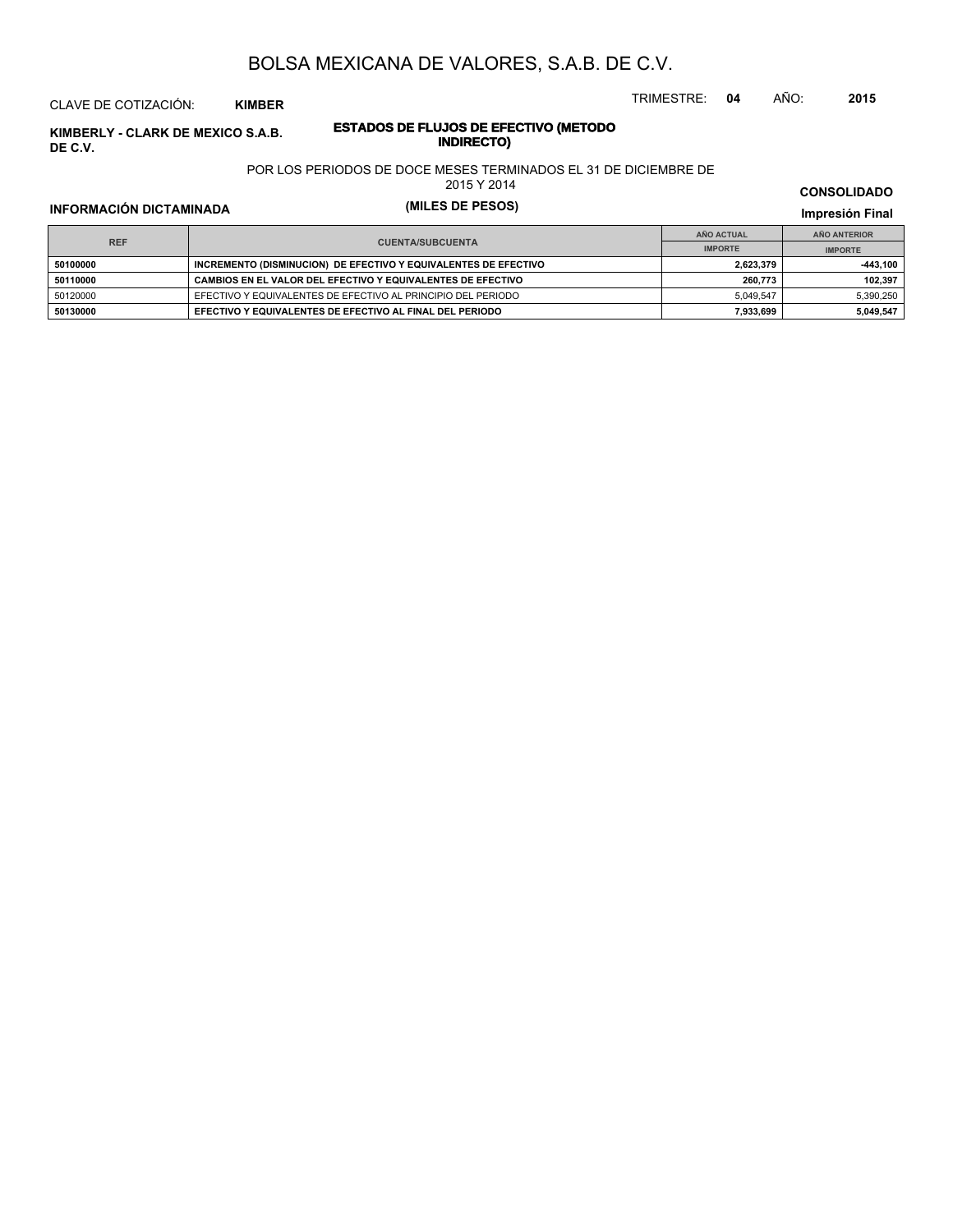#### CLAVE DE COTIZACIÓN: **KIMBER**

**INDERLY - CLARK DE MEXICO S.A.B. ESTADOS DE FLUJOS DE EFE**<br>INDIRECTO **DE C.V.**

# **ESTADOS DE FLUJOS DE EFECTIVO (METODO**

POR LOS PERIODOS DE DOCE MESES TERMINADOS EL 31 DE DICIEMBRE DE

2015 Y 2014

## **INFORMACIÓN DICTAMINADA (MILES DE PESOS) Impresión Final**

**IMPRESIÓN FINAL EN EN ENCLORED EN EL ENCLORED EN EL ENCLORED EN EL ENCLORED EN EL ENCLORED EN EL ENCLORED EN EL ENCLORED EN EL ENCLORED EN EL ENCLORED EN EL ENCLORED EN EL ENCLORED EN EL ENCLORED EN EL ENCLORED EN EL ENCL AÑO ACTUAL IMPORTE IMPORTE REF AÑO ANTERIOR IMPORTE INCREMENTO (DISMINUCION) DE EFECTIVO Y EQUIVALENTES DE EFECTIVO 1,623,379 2,623,379 -443,100 50110000 CAMBIOS EN EL VALOR DEL EFECTIVO Y EQUIVALENTES DE EFECTIVO <b>102,397 102,397 102,397** 50120000 EFECTIVO Y EQUIVALENTES DE EFECTIVO AL PRINCIPIO DEL PERIODO 5,049,547 5,390,250 **50130000 EFECTIVO Y EQUIVALENTES DE EFECTIVO AL FINAL DEL PERIODO 7,933,699 5,049,547**

## **CONSOLIDADO**

TRIMESTRE: **04** AÑO: **2015**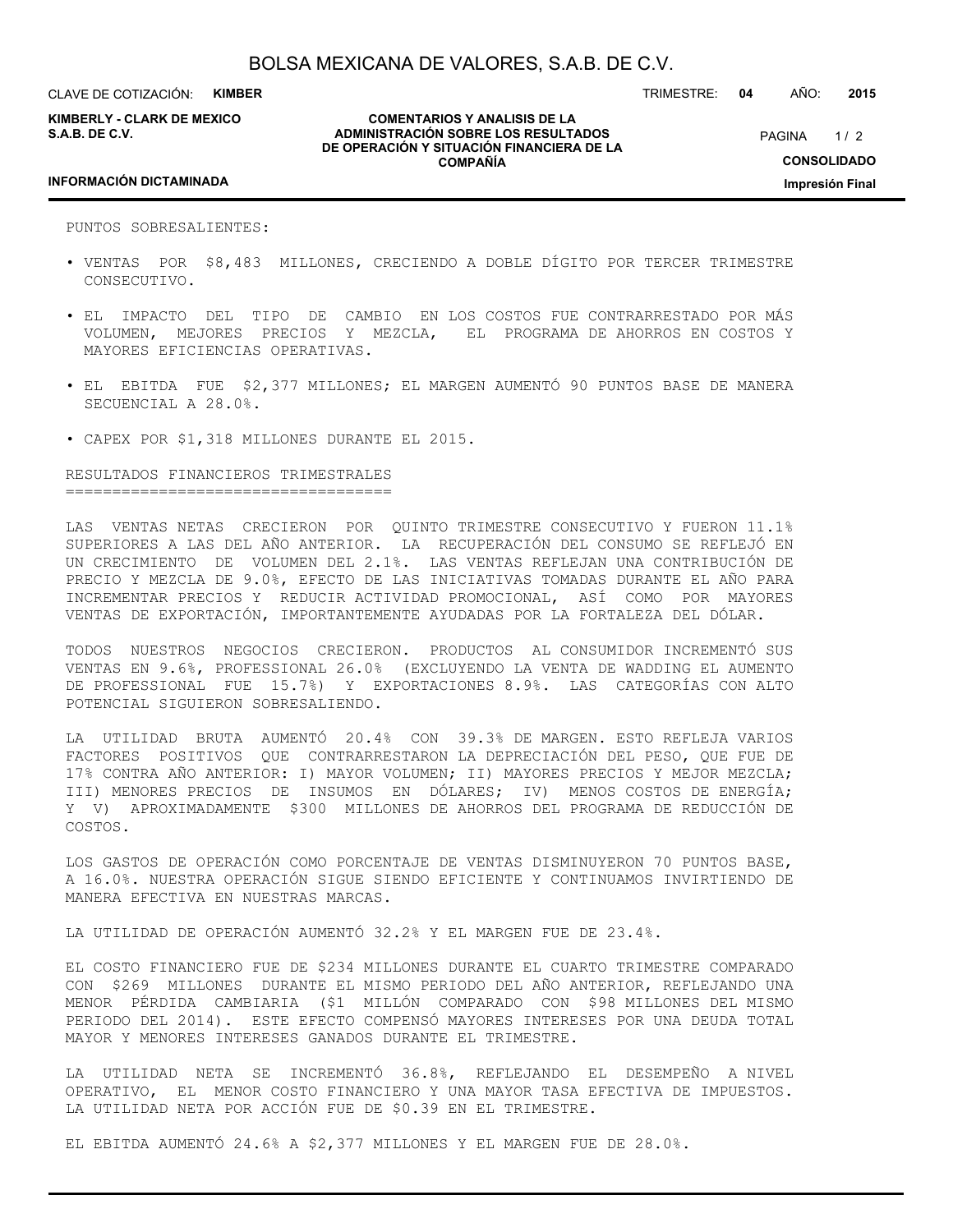CLAVE DE COTIZACIÓN: **KIMBER**

**KIMBERLY - CLARK DE MEXICO S.A.B. DE C.V.**

**COMENTARIOS Y ANALISIS DE LA ADMINISTRACIÓN SOBRE LOS RESULTADOS DE OPERACIÓN Y SITUACIÓN FINANCIERA DE LA COMPAÑÍA**

 $1/2$ **CONSOLIDADO Impresión Final PAGINA** 

TRIMESTRE: **04** AÑO: **2015**

#### **INFORMACIÓN DICTAMINADA**

PUNTOS SOBRESALIENTES:

- VENTAS POR \$8,483 MILLONES, CRECIENDO A DOBLE DÍGITO POR TERCER TRIMESTRE CONSECUTIVO.
- EL IMPACTO DEL TIPO DE CAMBIO EN LOS COSTOS FUE CONTRARRESTADO POR MÁS VOLUMEN, MEJORES PRECIOS Y MEZCLA, EL PROGRAMA DE AHORROS EN COSTOS Y MAYORES EFICIENCIAS OPERATIVAS.
- EL EBITDA FUE \$2,377 MILLONES; EL MARGEN AUMENTÓ 90 PUNTOS BASE DE MANERA SECUENCIAL A 28.0%.
- CAPEX POR \$1,318 MILLONES DURANTE EL 2015.

RESULTADOS FINANCIEROS TRIMESTRALES ===================================

LAS VENTAS NETAS CRECIERON POR QUINTO TRIMESTRE CONSECUTIVO Y FUERON 11.1% SUPERIORES A LAS DEL AÑO ANTERIOR. LA RECUPERACIÓN DEL CONSUMO SE REFLEJÓ EN UN CRECIMIENTO DE VOLUMEN DEL 2.1%. LAS VENTAS REFLEJAN UNA CONTRIBUCIÓN DE PRECIO Y MEZCLA DE 9.0%, EFECTO DE LAS INICIATIVAS TOMADAS DURANTE EL AÑO PARA INCREMENTAR PRECIOS Y REDUCIR ACTIVIDAD PROMOCIONAL, ASÍ COMO POR MAYORES VENTAS DE EXPORTACIÓN, IMPORTANTEMENTE AYUDADAS POR LA FORTALEZA DEL DÓLAR.

TODOS NUESTROS NEGOCIOS CRECIERON. PRODUCTOS AL CONSUMIDOR INCREMENTÓ SUS VENTAS EN 9.6%, PROFESSIONAL 26.0% (EXCLUYENDO LA VENTA DE WADDING EL AUMENTO DE PROFESSIONAL FUE 15.7%) Y EXPORTACIONES 8.9%. LAS CATEGORÍAS CON ALTO POTENCIAL SIGUIERON SOBRESALIENDO.

LA UTILIDAD BRUTA AUMENTÓ 20.4% CON 39.3% DE MARGEN. ESTO REFLEJA VARIOS FACTORES POSITIVOS QUE CONTRARRESTARON LA DEPRECIACIÓN DEL PESO, QUE FUE DE 17% CONTRA AÑO ANTERIOR: I) MAYOR VOLUMEN; II) MAYORES PRECIOS Y MEJOR MEZCLA; III) MENORES PRECIOS DE INSUMOS EN DÓLARES; IV) MENOS COSTOS DE ENERGÍA; Y V) APROXIMADAMENTE \$300 MILLONES DE AHORROS DEL PROGRAMA DE REDUCCIÓN DE COSTOS.

LOS GASTOS DE OPERACIÓN COMO PORCENTAJE DE VENTAS DISMINUYERON 70 PUNTOS BASE, A 16.0%. NUESTRA OPERACIÓN SIGUE SIENDO EFICIENTE Y CONTINUAMOS INVIRTIENDO DE MANERA EFECTIVA EN NUESTRAS MARCAS.

LA UTILIDAD DE OPERACIÓN AUMENTÓ 32.2% Y EL MARGEN FUE DE 23.4%.

EL COSTO FINANCIERO FUE DE \$234 MILLONES DURANTE EL CUARTO TRIMESTRE COMPARADO CON \$269 MILLONES DURANTE EL MISMO PERIODO DEL AÑO ANTERIOR, REFLEJANDO UNA MENOR PÉRDIDA CAMBIARIA (\$1 MILLÓN COMPARADO CON \$98 MILLONES DEL MISMO PERIODO DEL 2014). ESTE EFECTO COMPENSÓ MAYORES INTERESES POR UNA DEUDA TOTAL MAYOR Y MENORES INTERESES GANADOS DURANTE EL TRIMESTRE.

LA UTILIDAD NETA SE INCREMENTÓ 36.8%, REFLEJANDO EL DESEMPEÑO A NIVEL OPERATIVO, EL MENOR COSTO FINANCIERO Y UNA MAYOR TASA EFECTIVA DE IMPUESTOS. LA UTILIDAD NETA POR ACCIÓN FUE DE \$0.39 EN EL TRIMESTRE.

EL EBITDA AUMENTÓ 24.6% A \$2,377 MILLONES Y EL MARGEN FUE DE 28.0%.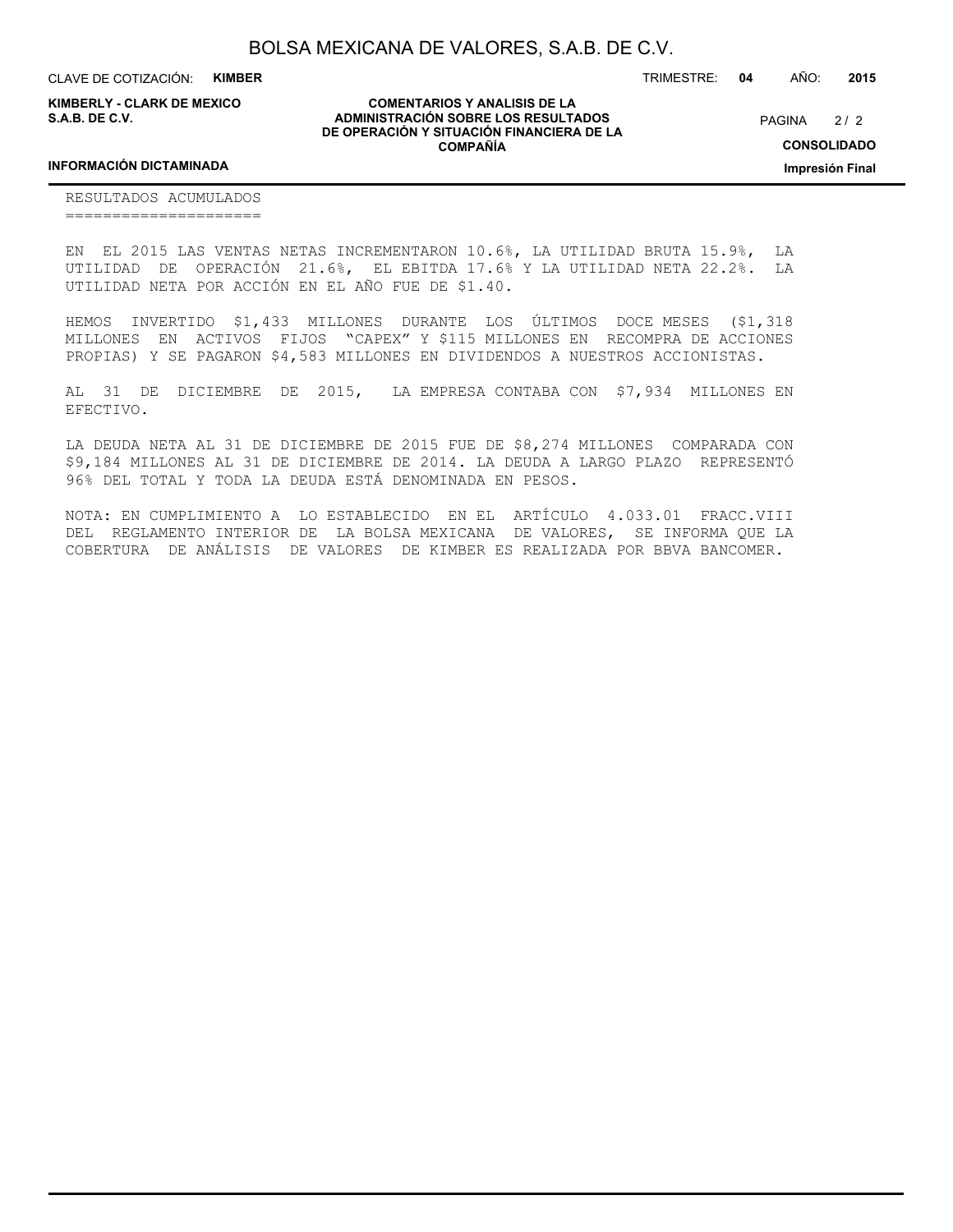CLAVE DE COTIZACIÓN: **KIMBER**

**KIMBERLY - CLARK DE MEXICO S.A.B. DE C.V.**

**COMENTARIOS Y ANALISIS DE LA ADMINISTRACIÓN SOBRE LOS RESULTADOS DE OPERACIÓN Y SITUACIÓN FINANCIERA DE LA COMPAÑÍA**

 $2/2$ **PAGINA** 

TRIMESTRE: **04** AÑO: **2015**

**CONSOLIDADO**

**Impresión Final**

#### **INFORMACIÓN DICTAMINADA**

RESULTADOS ACUMULADOS =====================

EN EL 2015 LAS VENTAS NETAS INCREMENTARON 10.6%, LA UTILIDAD BRUTA 15.9%, LA UTILIDAD DE OPERACIÓN 21.6%, EL EBITDA 17.6% Y LA UTILIDAD NETA 22.2%. LA UTILIDAD NETA POR ACCIÓN EN EL AÑO FUE DE \$1.40.

HEMOS INVERTIDO \$1,433 MILLONES DURANTE LOS ÚLTIMOS DOCE MESES (\$1,318 MILLONES EN ACTIVOS FIJOS "CAPEX" Y \$115 MILLONES EN RECOMPRA DE ACCIONES PROPIAS) Y SE PAGARON \$4,583 MILLONES EN DIVIDENDOS A NUESTROS ACCIONISTAS.

AL 31 DE DICIEMBRE DE 2015, LA EMPRESA CONTABA CON \$7,934 MILLONES EN EFECTIVO.

LA DEUDA NETA AL 31 DE DICIEMBRE DE 2015 FUE DE \$8,274 MILLONES COMPARADA CON \$9,184 MILLONES AL 31 DE DICIEMBRE DE 2014. LA DEUDA A LARGO PLAZO REPRESENTÓ 96% DEL TOTAL Y TODA LA DEUDA ESTÁ DENOMINADA EN PESOS.

NOTA: EN CUMPLIMIENTO A LO ESTABLECIDO EN EL ARTÍCULO 4.033.01 FRACC.VIII DEL REGLAMENTO INTERIOR DE LA BOLSA MEXICANA DE VALORES, SE INFORMA QUE LA COBERTURA DE ANÁLISIS DE VALORES DE KIMBER ES REALIZADA POR BBVA BANCOMER.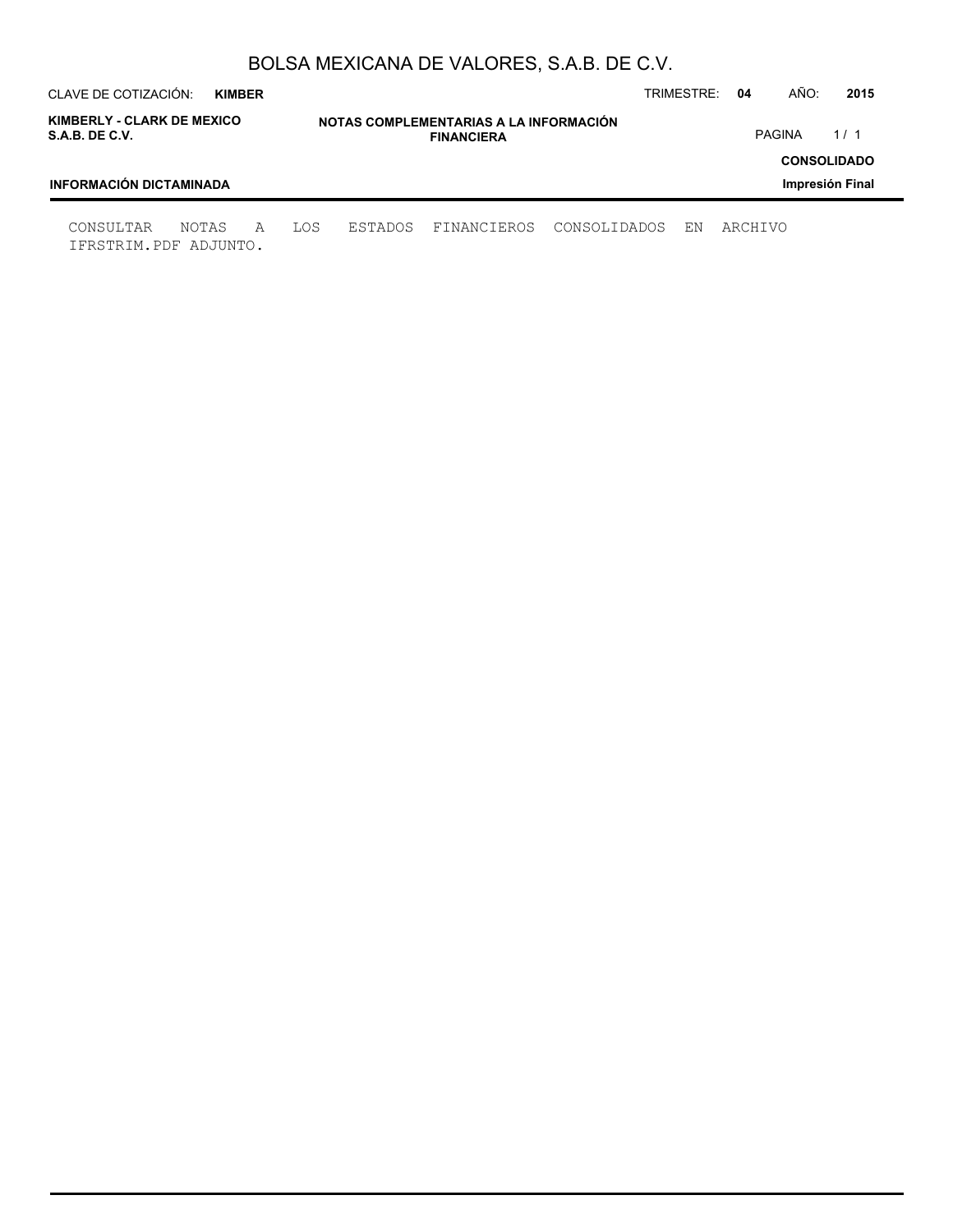| CLAVE DE COTIZACIÓN:                         | <b>KIMBER</b> |   |     |                                                             |             |              | TRIMESTRE: | 04      | AÑO:          | 2015                                  |
|----------------------------------------------|---------------|---|-----|-------------------------------------------------------------|-------------|--------------|------------|---------|---------------|---------------------------------------|
| KIMBERLY - CLARK DE MEXICO<br>S.A.B. DE C.V. |               |   |     | NOTAS COMPLEMENTARIAS A LA INFORMACIÓN<br><b>FINANCIERA</b> |             |              |            |         | <b>PAGINA</b> | 1/1                                   |
| <b>INFORMACIÓN DICTAMINADA</b>               |               |   |     |                                                             |             |              |            |         |               | <b>CONSOLIDADO</b><br>Impresión Final |
| CONSULTAR<br>IFRSTRIM.PDF ADJUNTO.           | NOTAS         | A | LOS | ESTADOS                                                     | FINANCIEROS | CONSOLIDADOS | ΕN         | ARCHIVO |               |                                       |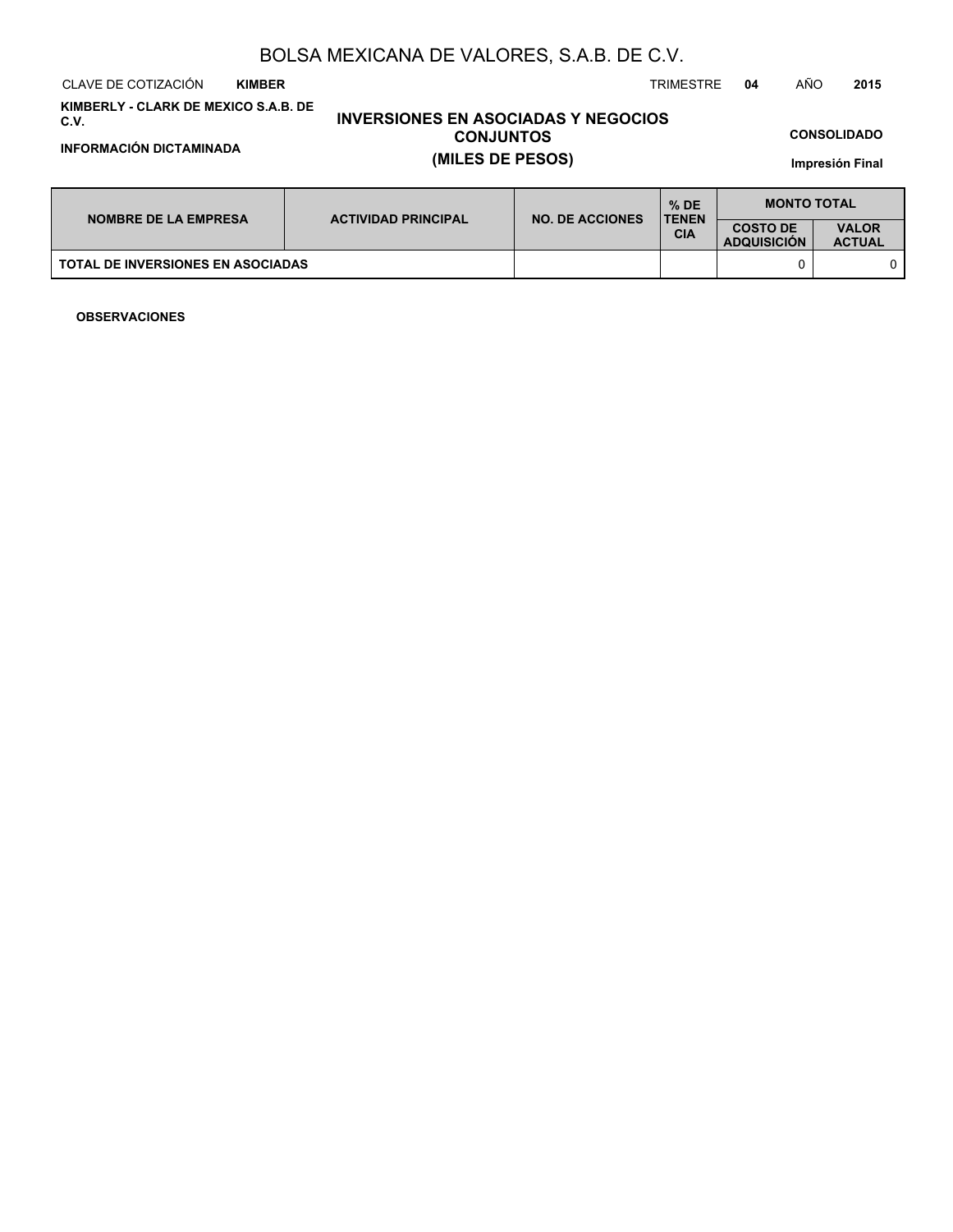CLAVE DE COTIZACIÓN TRIMESTRE **04** AÑO **2015 KIMBER**

**KIMBERLY - CLARK DE MEXICO S.A.B. DE C.V.**

**INFORMACIÓN DICTAMINADA (MILES DE PESOS)**

# **INVERSIONES EN ASOCIADAS Y NEGOCIOS CONJUNTOS**

**CONSOLIDADO**

**Impresión Final**

| <b>NOMBRE DE LA EMPRESA</b>              | <b>ACTIVIDAD PRINCIPAL</b> | <b>NO. DE ACCIONES</b> | $%$ DE<br><b>TENEN</b> | <b>MONTO TOTAL</b>                    |                               |
|------------------------------------------|----------------------------|------------------------|------------------------|---------------------------------------|-------------------------------|
|                                          |                            |                        | <b>CIA</b>             | <b>COSTO DE</b><br><b>ADQUISICION</b> | <b>VALOR</b><br><b>ACTUAL</b> |
| <b>TOTAL DE INVERSIONES EN ASOCIADAS</b> |                            |                        |                        |                                       |                               |

**OBSERVACIONES**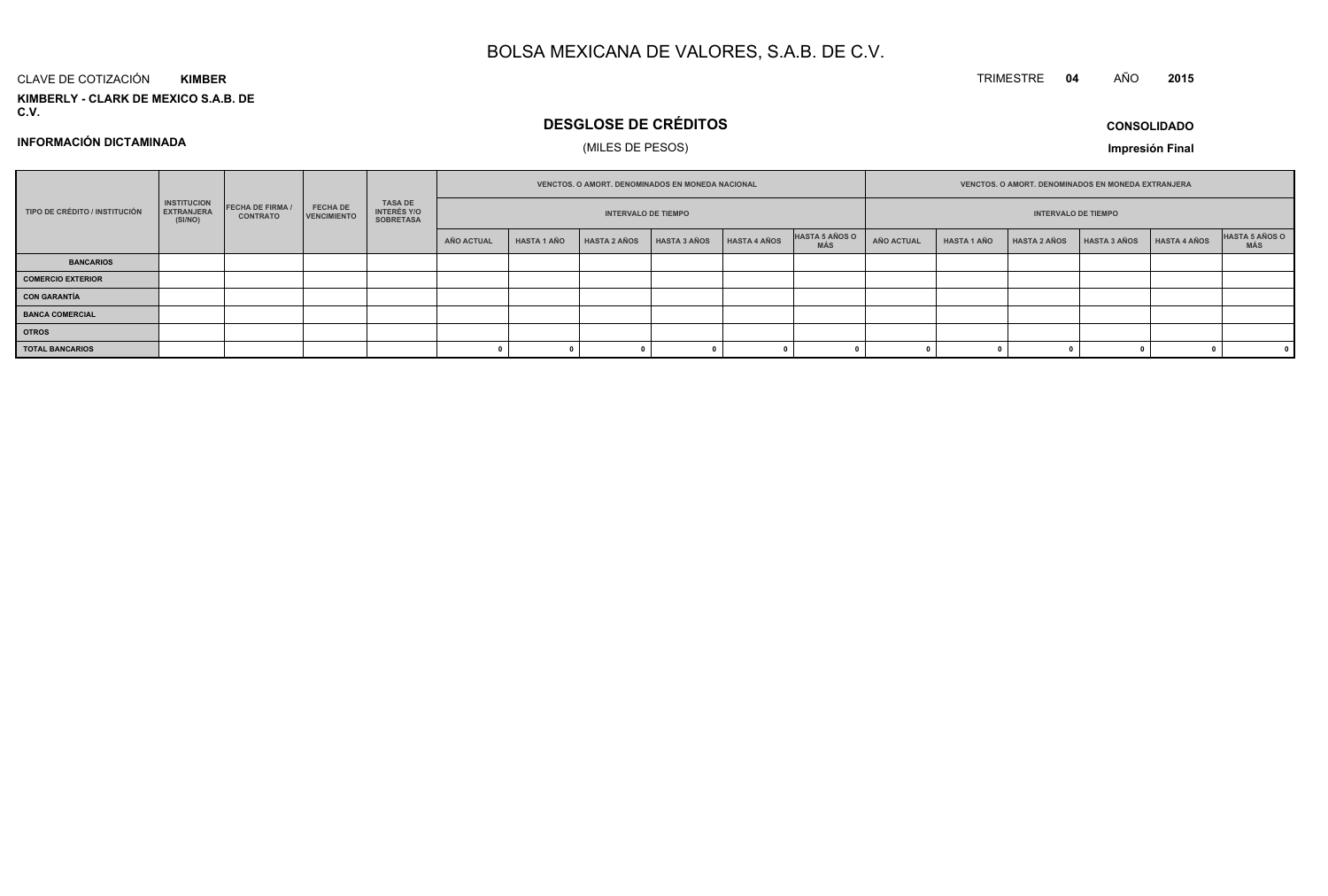#### CLAVE DE COTIZACIÓN**KIMBER**

**KIMBERLY - CLARK DE MEXICO S.A.B. DE C.V.**

## **DESGLOSE DE CRÉDITOS**

## (MILES DE PESOS)

**CONSOLIDADOImpresión Final**

**<sup>2015</sup>**

TRIMESTRE **<sup>04</sup>** AÑO

**INFORMACIÓN DICTAMINADA**

|                               | <b>INSTITUCION</b><br><b>FECHA DE FIRMA /</b><br><b>EXTRANJERA</b><br><b>CONTRATO</b><br>(SI/NO) |  |                                       | <b>VENCTOS, O AMORT, DENOMINADOS EN MONEDA NACIONAL</b> |                            |                    |                     |              | <b>VENCTOS, O AMORT, DENOMINADOS EN MONEDA EXTRANJERA</b> |                            |                   |                    |                     |                     |              |                       |
|-------------------------------|--------------------------------------------------------------------------------------------------|--|---------------------------------------|---------------------------------------------------------|----------------------------|--------------------|---------------------|--------------|-----------------------------------------------------------|----------------------------|-------------------|--------------------|---------------------|---------------------|--------------|-----------------------|
| TIPO DE CRÉDITO / INSTITUCIÓN |                                                                                                  |  | <b>FECHA DE</b><br><b>VENCIMIENTO</b> | TASA DE<br>INTERÉS Y/O<br><b>SOBRETASA</b>              | <b>INTERVALO DE TIEMPO</b> |                    |                     |              |                                                           | <b>INTERVALO DE TIEMPO</b> |                   |                    |                     |                     |              |                       |
|                               |                                                                                                  |  |                                       |                                                         | AÑO ACTUAL                 | <b>HASTA 1 AÑO</b> | <b>HASTA 2 AÑOS</b> | HASTA 3 AÑOS | <b>HASTA 4 AÑOS</b>                                       | HASTA 5 AÑOS O<br>MÁS      | <b>AÑO ACTUAL</b> | <b>HASTA 1 AÑO</b> | <b>HASTA 2 AÑOS</b> | <b>HASTA 3 AÑOS</b> | HASTA 4 AÑOS | HASTA 5 AÑOS O<br>MÁS |
| <b>BANCARIOS</b>              |                                                                                                  |  |                                       |                                                         |                            |                    |                     |              |                                                           |                            |                   |                    |                     |                     |              |                       |
| <b>COMERCIO EXTERIOR</b>      |                                                                                                  |  |                                       |                                                         |                            |                    |                     |              |                                                           |                            |                   |                    |                     |                     |              |                       |
| <b>CON GARANTÍA</b>           |                                                                                                  |  |                                       |                                                         |                            |                    |                     |              |                                                           |                            |                   |                    |                     |                     |              |                       |
| <b>BANCA COMERCIAL</b>        |                                                                                                  |  |                                       |                                                         |                            |                    |                     |              |                                                           |                            |                   |                    |                     |                     |              |                       |
| <b>OTROS</b>                  |                                                                                                  |  |                                       |                                                         |                            |                    |                     |              |                                                           |                            |                   |                    |                     |                     |              |                       |
| <b>TOTAL BANCARIOS</b>        |                                                                                                  |  |                                       |                                                         |                            |                    |                     |              |                                                           |                            |                   |                    |                     |                     |              |                       |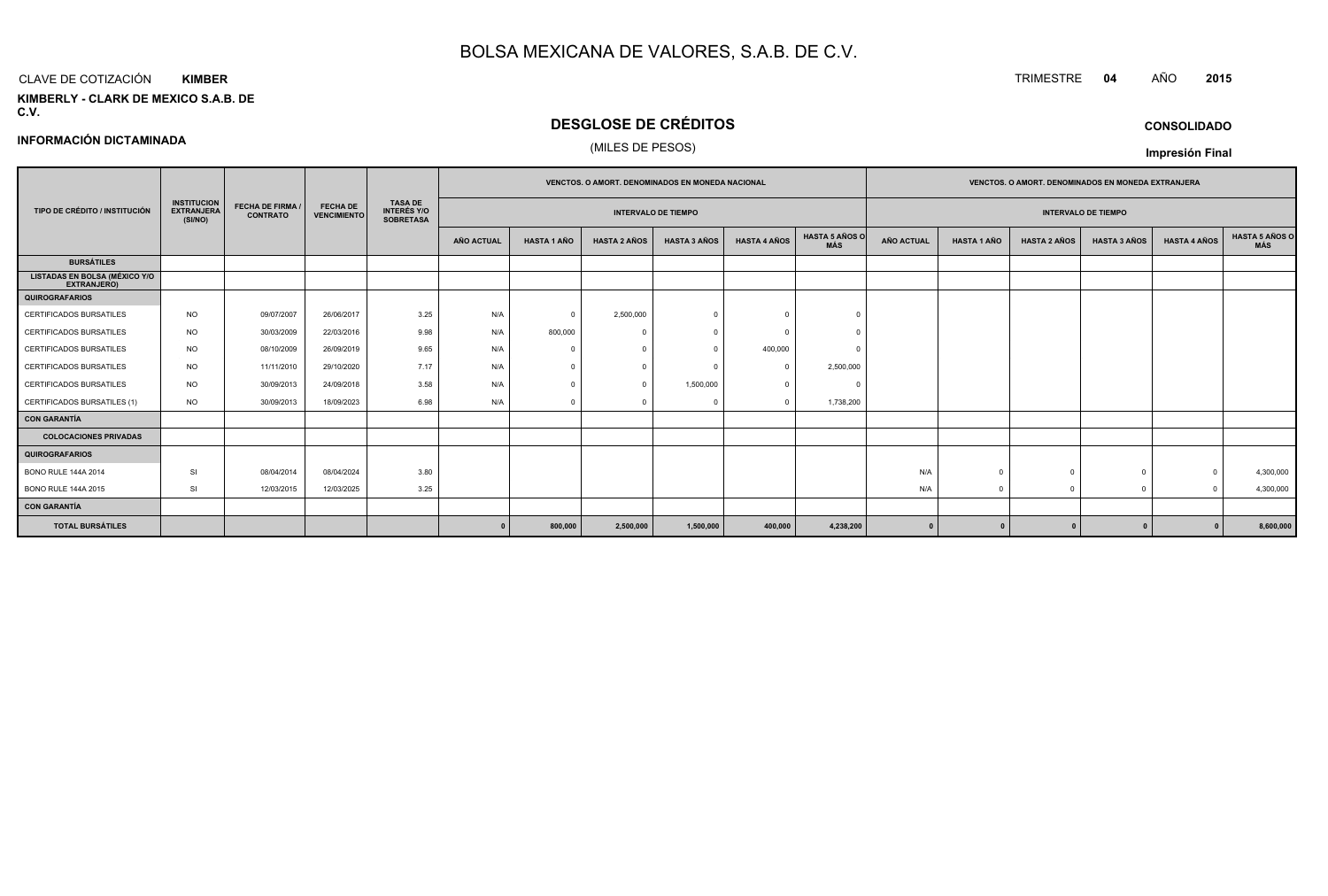#### CLAVE DE COTIZACIÓN TRIMESTRE **<sup>04</sup>** AÑO **<sup>2015</sup> KIMBER**

**INFORMACIÓN DICTAMINADA**

**KIMBERLY - CLARK DE MEXICO S.A.B. DE C.V.**

## **DESGLOSE DE CRÉDITOS**

(MILES DE PESOS)

|  | <b>CONSOLIDADO</b> |
|--|--------------------|
|  |                    |

|                                                     |                                                                       |                         |                                       |                                                          | <b>VENCTOS, O AMORT, DENOMINADOS EN MONEDA NACIONAL</b> |                    |                     |                            | <b>VENCTOS, O AMORT, DENOMINADOS EN MONEDA EXTRANJERA</b> |                                     |                   |                    |                     |                            |                     |                       |
|-----------------------------------------------------|-----------------------------------------------------------------------|-------------------------|---------------------------------------|----------------------------------------------------------|---------------------------------------------------------|--------------------|---------------------|----------------------------|-----------------------------------------------------------|-------------------------------------|-------------------|--------------------|---------------------|----------------------------|---------------------|-----------------------|
| TIPO DE CRÉDITO / INSTITUCIÓN                       | <b>INSTITUCION</b><br><b>EXTRANJERA</b><br><b>CONTRATO</b><br>(SI/NO) | <b>FECHA DE FIRMA /</b> | <b>FECHA DE</b><br><b>VENCIMIENTO</b> | <b>TASA DE</b><br><b>INTERÉS Y/O</b><br><b>SOBRETASA</b> |                                                         |                    |                     | <b>INTERVALO DE TIEMPO</b> |                                                           |                                     |                   |                    |                     | <b>INTERVALO DE TIEMPO</b> |                     |                       |
|                                                     |                                                                       |                         |                                       |                                                          | <b>AÑO ACTUAL</b>                                       | <b>HASTA 1 AÑO</b> | <b>HASTA 2 AÑOS</b> | <b>HASTA 3 AÑOS</b>        | <b>HASTA 4 AÑOS</b>                                       | <b>HASTA 5 AÑOS O</b><br><b>MÁS</b> | <b>AÑO ACTUAL</b> | <b>HASTA 1 AÑO</b> | <b>HASTA 2 AÑOS</b> | <b>HASTA 3 AÑOS</b>        | <b>HASTA 4 AÑOS</b> | HASTA 5 AÑOS C<br>MÁS |
| <b>BURSÁTILES</b>                                   |                                                                       |                         |                                       |                                                          |                                                         |                    |                     |                            |                                                           |                                     |                   |                    |                     |                            |                     |                       |
| <b>LISTADAS EN BOLSA (MÉXICO Y/O</b><br>EXTRANJERO) |                                                                       |                         |                                       |                                                          |                                                         |                    |                     |                            |                                                           |                                     |                   |                    |                     |                            |                     |                       |
| <b>QUIROGRAFARIOS</b>                               |                                                                       |                         |                                       |                                                          |                                                         |                    |                     |                            |                                                           |                                     |                   |                    |                     |                            |                     |                       |
| <b>CERTIFICADOS BURSATILES</b>                      | <b>NO</b>                                                             | 09/07/2007              | 26/06/2017                            | 3.25                                                     | N/A                                                     | $\mathbf{0}$       | 2,500,000           |                            | $\sqrt{ }$                                                | $\Omega$                            |                   |                    |                     |                            |                     |                       |
| CERTIFICADOS BURSATILES                             | <b>NO</b>                                                             | 30/03/2009              | 22/03/2016                            | 9.98                                                     | N/A                                                     | 800,000            |                     |                            |                                                           |                                     |                   |                    |                     |                            |                     |                       |
| CERTIFICADOS BURSATILES                             | <b>NO</b>                                                             | 08/10/2009              | 26/09/2019                            | 9.65                                                     | N/A                                                     | $\Omega$           |                     |                            | 400,000                                                   |                                     |                   |                    |                     |                            |                     |                       |
| <b>CERTIFICADOS BURSATILES</b>                      | <b>NO</b>                                                             | 11/11/2010              | 29/10/2020                            | 7.17                                                     | N/A                                                     | $^{\circ}$         | $\Omega$            |                            | $\Omega$                                                  | 2,500,000                           |                   |                    |                     |                            |                     |                       |
| CERTIFICADOS BURSATILES                             | <b>NO</b>                                                             | 30/09/2013              | 24/09/2018                            | 3.58                                                     | N/A                                                     | $\Omega$           | $\Omega$            | 1,500,000                  |                                                           | $\epsilon$                          |                   |                    |                     |                            |                     |                       |
| CERTIFICADOS BURSATILES (1)                         | <b>NO</b>                                                             | 30/09/2013              | 18/09/2023                            | 6.98                                                     | N/A                                                     | $^{\circ}$         |                     |                            | $\Omega$                                                  | 1,738,200                           |                   |                    |                     |                            |                     |                       |
| <b>CON GARANTÍA</b>                                 |                                                                       |                         |                                       |                                                          |                                                         |                    |                     |                            |                                                           |                                     |                   |                    |                     |                            |                     |                       |
| <b>COLOCACIONES PRIVADAS</b>                        |                                                                       |                         |                                       |                                                          |                                                         |                    |                     |                            |                                                           |                                     |                   |                    |                     |                            |                     |                       |
| <b>QUIROGRAFARIOS</b>                               |                                                                       |                         |                                       |                                                          |                                                         |                    |                     |                            |                                                           |                                     |                   |                    |                     |                            |                     |                       |
| <b>BONO RULE 144A 2014</b>                          | SI                                                                    | 08/04/2014              | 08/04/2024                            | 3.80                                                     |                                                         |                    |                     |                            |                                                           |                                     | N/A               |                    |                     | $\Omega$                   | $\Omega$            | 4,300,000             |
| <b>BONO RULE 144A 2015</b>                          | SI                                                                    | 12/03/2015              | 12/03/2025                            | 3.25                                                     |                                                         |                    |                     |                            |                                                           |                                     | N/A               | $\overline{0}$     | $\cap$              | $\mathbf{0}$               | $\Omega$            | 4,300,000             |
| <b>CON GARANTÍA</b>                                 |                                                                       |                         |                                       |                                                          |                                                         |                    |                     |                            |                                                           |                                     |                   |                    |                     |                            |                     |                       |
| <b>TOTAL BURSÁTILES</b>                             |                                                                       |                         |                                       |                                                          |                                                         | 800,000            | 2,500,000           | 1,500,000                  | 400,000                                                   | 4,238,200                           |                   |                    |                     | $\Omega$                   |                     | 8,600,000             |

**Impresión Final**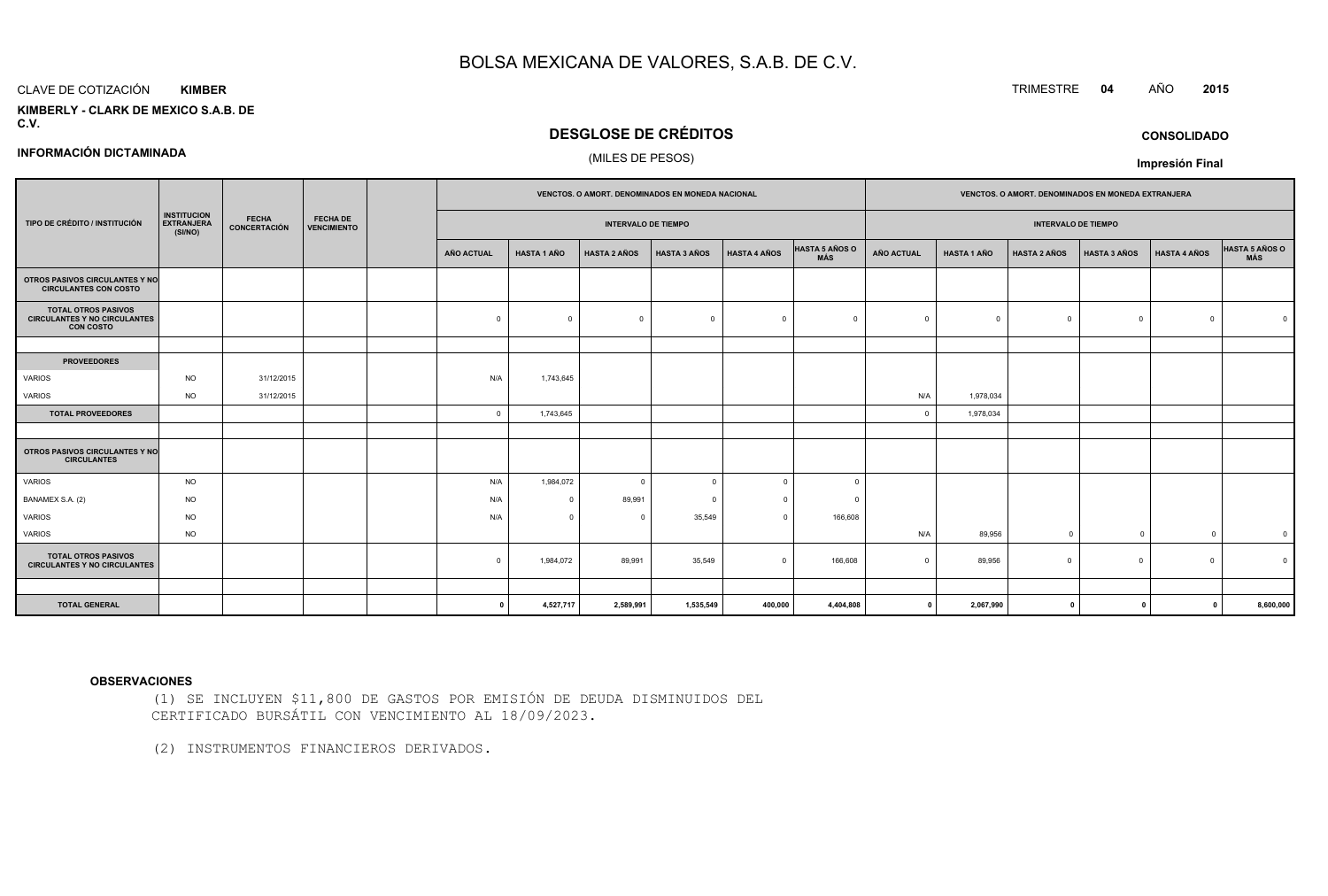#### CLAVE DE COTIZACIÓN**KIMBER**

**INFORMACIÓN DICTAMINADA**

#### **KIMBERLY - CLARK DE MEXICO S.A.B. DEC.V.**

## **DESGLOSE DE CRÉDITOS**

### (MILES DE PESOS)

|                                                                                       |                                                    |                              | <b>FECHA DE</b><br><b>VENCIMIENTO</b> |                            |                    | VENCTOS. O AMORT. DENOMINADOS EN MONEDA NACIONAL |                     |                     |                              | VENCTOS. O AMORT. DENOMINADOS EN MONEDA EXTRANJERA |                    |                     |                     |                     |                |
|---------------------------------------------------------------------------------------|----------------------------------------------------|------------------------------|---------------------------------------|----------------------------|--------------------|--------------------------------------------------|---------------------|---------------------|------------------------------|----------------------------------------------------|--------------------|---------------------|---------------------|---------------------|----------------|
| TIPO DE CRÉDITO / INSTITUCIÓN                                                         | <b>INSTITUCION</b><br><b>EXTRANJERA</b><br>(SI/NO) | <b>FECHA</b><br>CONCERTACIÓN |                                       | <b>INTERVALO DE TIEMPO</b> |                    |                                                  |                     |                     | <b>INTERVALO DE TIEMPO</b>   |                                                    |                    |                     |                     |                     |                |
|                                                                                       |                                                    |                              |                                       | <b>AÑO ACTUAL</b>          | <b>HASTA 1 AÑO</b> | <b>HASTA 2 AÑOS</b>                              | <b>HASTA 3 AÑOS</b> | <b>HASTA 4 AÑOS</b> | <b>HASTA 5 AÑOS O</b><br>MÁS | <b>AÑO ACTUAL</b>                                  | <b>HASTA 1 AÑO</b> | <b>HASTA 2 AÑOS</b> | <b>HASTA 3 AÑOS</b> | <b>HASTA 4 AÑOS</b> | HASTA 5 AÑOS O |
| OTROS PASIVOS CIRCULANTES Y NO<br><b>CIRCULANTES CON COSTO</b>                        |                                                    |                              |                                       |                            |                    |                                                  |                     |                     |                              |                                                    |                    |                     |                     |                     |                |
| <b>TOTAL OTROS PASIVOS</b><br><b>CIRCULANTES Y NO CIRCULANTES</b><br><b>CON COSTO</b> |                                                    |                              |                                       | $\Omega$                   |                    | $\overline{0}$                                   | $\Omega$            | $\Omega$            | $\Omega$                     | $\Omega$                                           | $\Omega$           |                     | $\mathbf 0$         | $\Omega$            |                |
|                                                                                       |                                                    |                              |                                       |                            |                    |                                                  |                     |                     |                              |                                                    |                    |                     |                     |                     |                |
| <b>PROVEEDORES</b>                                                                    |                                                    |                              |                                       |                            |                    |                                                  |                     |                     |                              |                                                    |                    |                     |                     |                     |                |
| <b>VARIOS</b>                                                                         | <b>NO</b>                                          | 31/12/2015                   |                                       | N/A                        | 1,743,645          |                                                  |                     |                     |                              |                                                    |                    |                     |                     |                     |                |
| <b>VARIOS</b>                                                                         | <b>NO</b>                                          | 31/12/2015                   |                                       |                            |                    |                                                  |                     |                     |                              | N/A                                                | 1,978,034          |                     |                     |                     |                |
| <b>TOTAL PROVEEDORES</b>                                                              |                                                    |                              |                                       | $\overline{0}$             | 1,743,645          |                                                  |                     |                     |                              | $\overline{0}$                                     | 1,978,034          |                     |                     |                     |                |
|                                                                                       |                                                    |                              |                                       |                            |                    |                                                  |                     |                     |                              |                                                    |                    |                     |                     |                     |                |
| OTROS PASIVOS CIRCULANTES Y NO<br><b>CIRCULANTES</b>                                  |                                                    |                              |                                       |                            |                    |                                                  |                     |                     |                              |                                                    |                    |                     |                     |                     |                |
| <b>VARIOS</b>                                                                         | <b>NO</b>                                          |                              |                                       | N/A                        | 1,984,072          | $\overline{0}$                                   | $\Omega$            | $\Omega$            | $\Omega$                     |                                                    |                    |                     |                     |                     |                |
| BANAMEX S.A. (2)                                                                      | <b>NO</b>                                          |                              |                                       | N/A                        | $\Omega$           | 89,991                                           |                     |                     | - 0                          |                                                    |                    |                     |                     |                     |                |
| <b>VARIOS</b>                                                                         | <b>NO</b>                                          |                              |                                       | N/A                        | $\Omega$           | $\Omega$                                         | 35,549              | $\Omega$            | 166,608                      |                                                    |                    |                     |                     |                     |                |
| <b>VARIOS</b>                                                                         | <b>NO</b>                                          |                              |                                       |                            |                    |                                                  |                     |                     |                              | N/A                                                | 89,956             | $\Omega$            | $\Omega$            | $\Omega$            | $\overline{0}$ |
| <b>TOTAL OTROS PASIVOS</b><br><b>CIRCULANTES Y NO CIRCULANTES</b>                     |                                                    |                              |                                       | $\Omega$                   | 1,984,072          | 89,991                                           | 35,549              | $\Omega$            | 166,608                      | $\Omega$                                           | 89,956             | $\Omega$            | $\circ$             | $\Omega$            |                |
|                                                                                       |                                                    |                              |                                       |                            |                    |                                                  |                     |                     |                              |                                                    |                    |                     |                     |                     |                |
| <b>TOTAL GENERAL</b>                                                                  |                                                    |                              |                                       | - 0                        | 4,527,717          | 2,589,991                                        | 1,535,549           | 400,000             | 4,404,808                    | $\mathbf{0}$                                       | 2,067,990          | $\mathbf{0}$        | $\mathbf{0}$        | $\mathbf{0}$        | 8,600,000      |

#### **OBSERVACIONES**

(1) SE INCLUYEN \$11,800 DE GASTOS POR EMISIÓN DE DEUDA DISMINUIDOS DELCERTIFICADO BURSÁTIL CON VENCIMIENTO AL 18/09/2023.

(2) INSTRUMENTOS FINANCIEROS DERIVADOS.

TRIMESTRE **<sup>04</sup>** AÑO **<sup>2015</sup>**

**CONSOLIDADO**

**Impresión Final**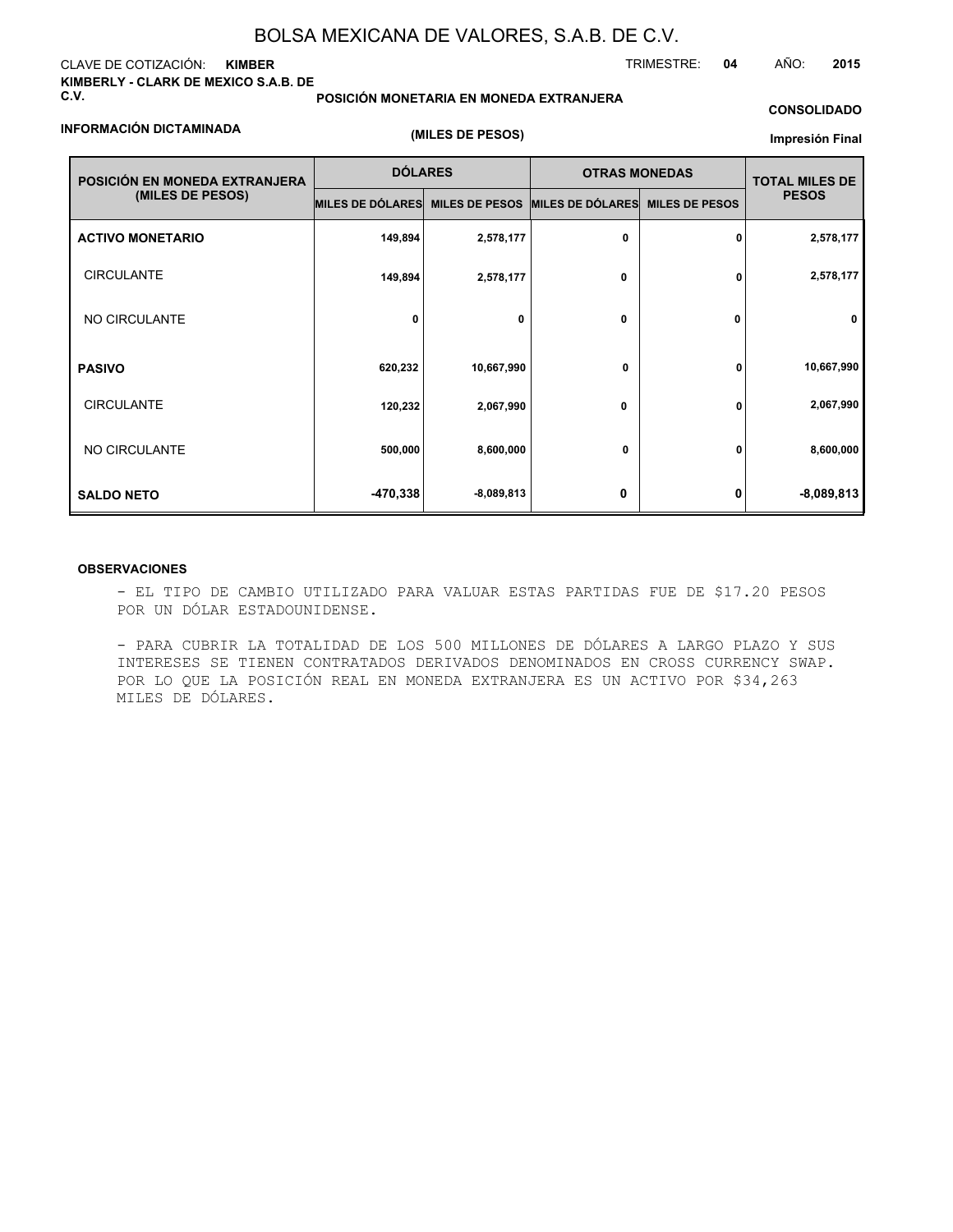#### CLAVE DE COTIZACIÓN: **KIMBER KIMBERLY - CLARK DE MEXICO S.A.B. DE C.V.**

**POSICIÓN MONETARIA EN MONEDA EXTRANJERA**

## TRIMESTRE: **04** AÑO: **2015**

### **INFORMACIÓN DICTAMINADA**

**(MILES DE PESOS)**

## **CONSOLIDADO Impresión Final**

| POSICIÓN EN MONEDA EXTRANJERA | <b>DÓLARES</b>          |              | <b>OTRAS MONEDAS</b>            | <b>TOTAL MILES DE</b> |              |
|-------------------------------|-------------------------|--------------|---------------------------------|-----------------------|--------------|
| (MILES DE PESOS)              | <b>MILES DE DÓLARES</b> |              | MILES DE PESOS MILES DE DÓLARES | <b>MILES DE PESOS</b> | <b>PESOS</b> |
| <b>ACTIVO MONETARIO</b>       | 149,894                 | 2,578,177    | 0                               | 0                     | 2,578,177    |
| <b>CIRCULANTE</b>             | 149,894                 | 2,578,177    | 0                               | 0                     | 2,578,177    |
| NO CIRCULANTE                 | 0                       | 0            | $\mathbf{0}$                    | 0                     | 0            |
| <b>PASIVO</b>                 | 620,232                 | 10,667,990   | 0                               | 0                     | 10,667,990   |
| <b>CIRCULANTE</b>             | 120,232                 | 2,067,990    | 0                               | 0                     | 2,067,990    |
| NO CIRCULANTE                 | 500,000                 | 8,600,000    | 0                               | 0                     | 8,600,000    |
| <b>SALDO NETO</b>             | -470,338                | $-8,089,813$ | 0                               | n                     | $-8,089,813$ |

#### **OBSERVACIONES**

- EL TIPO DE CAMBIO UTILIZADO PARA VALUAR ESTAS PARTIDAS FUE DE \$17.20 PESOS POR UN DÓLAR ESTADOUNIDENSE.

- PARA CUBRIR LA TOTALIDAD DE LOS 500 MILLONES DE DÓLARES A LARGO PLAZO Y SUS INTERESES SE TIENEN CONTRATADOS DERIVADOS DENOMINADOS EN CROSS CURRENCY SWAP. POR LO QUE LA POSICIÓN REAL EN MONEDA EXTRANJERA ES UN ACTIVO POR \$34,263 MILES DE DÓLARES.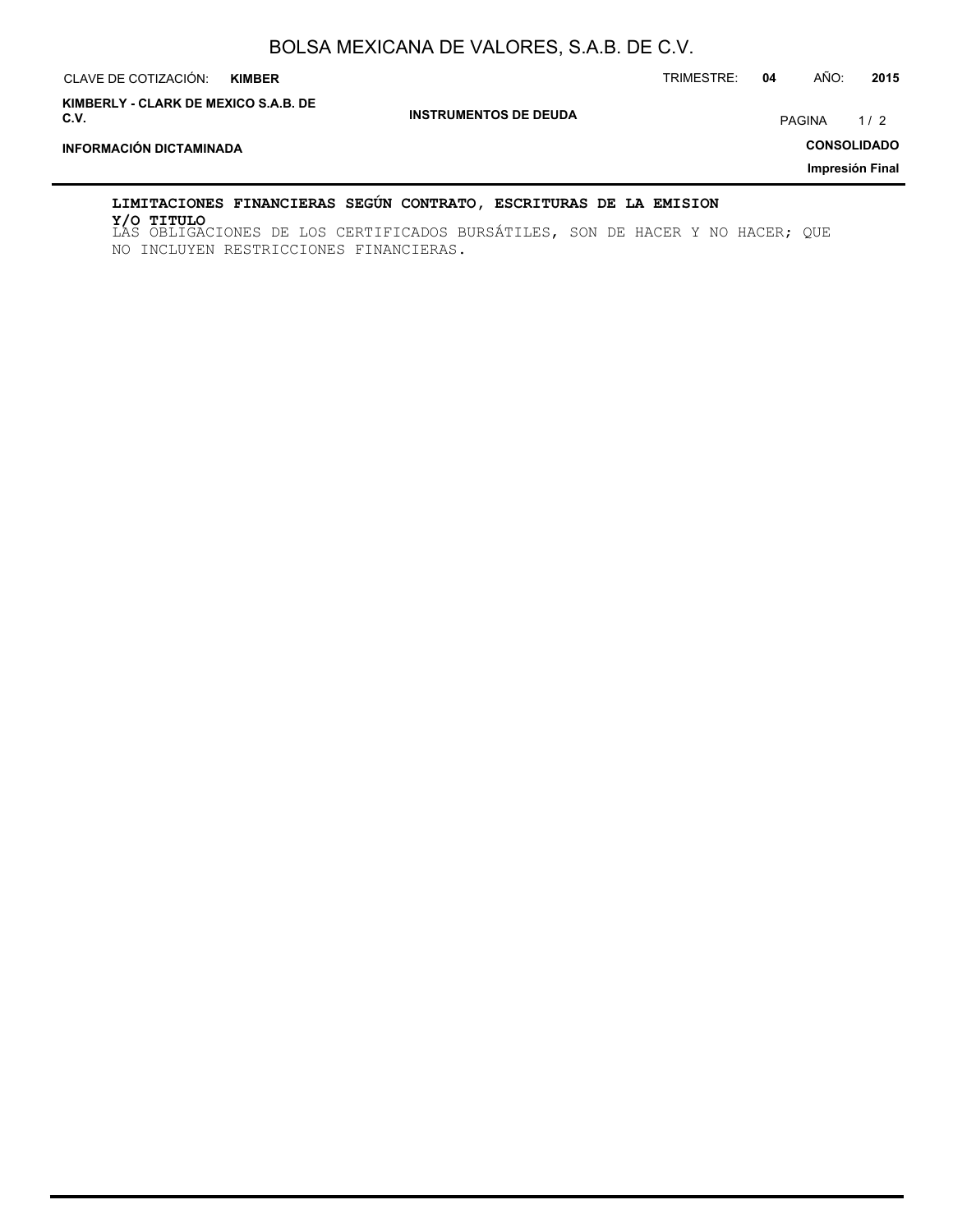| CLAVE DE COTIZACIÓN:<br><b>KIMBER</b>        |                              | TRIMESTRE: | 04 | AÑO:          | 2015               |
|----------------------------------------------|------------------------------|------------|----|---------------|--------------------|
| KIMBERLY - CLARK DE MEXICO S.A.B. DE<br>C.V. | <b>INSTRUMENTOS DE DEUDA</b> |            |    | <b>PAGINA</b> | 1/2                |
| <b>INFORMACIÓN DICTAMINADA</b>               |                              |            |    |               | <b>CONSOLIDADO</b> |
|                                              |                              |            |    |               | Impresión Final    |
|                                              |                              |            |    |               |                    |

### **LIMITACIONES FINANCIERAS SEGÚN CONTRATO, ESCRITURAS DE LA EMISION**

LAS OBLIGACIONES DE LOS CERTIFICADOS BURSÁTILES, SON DE HACER Y NO HACER; QUE **Y/O TITULO**NO INCLUYEN RESTRICCIONES FINANCIERAS.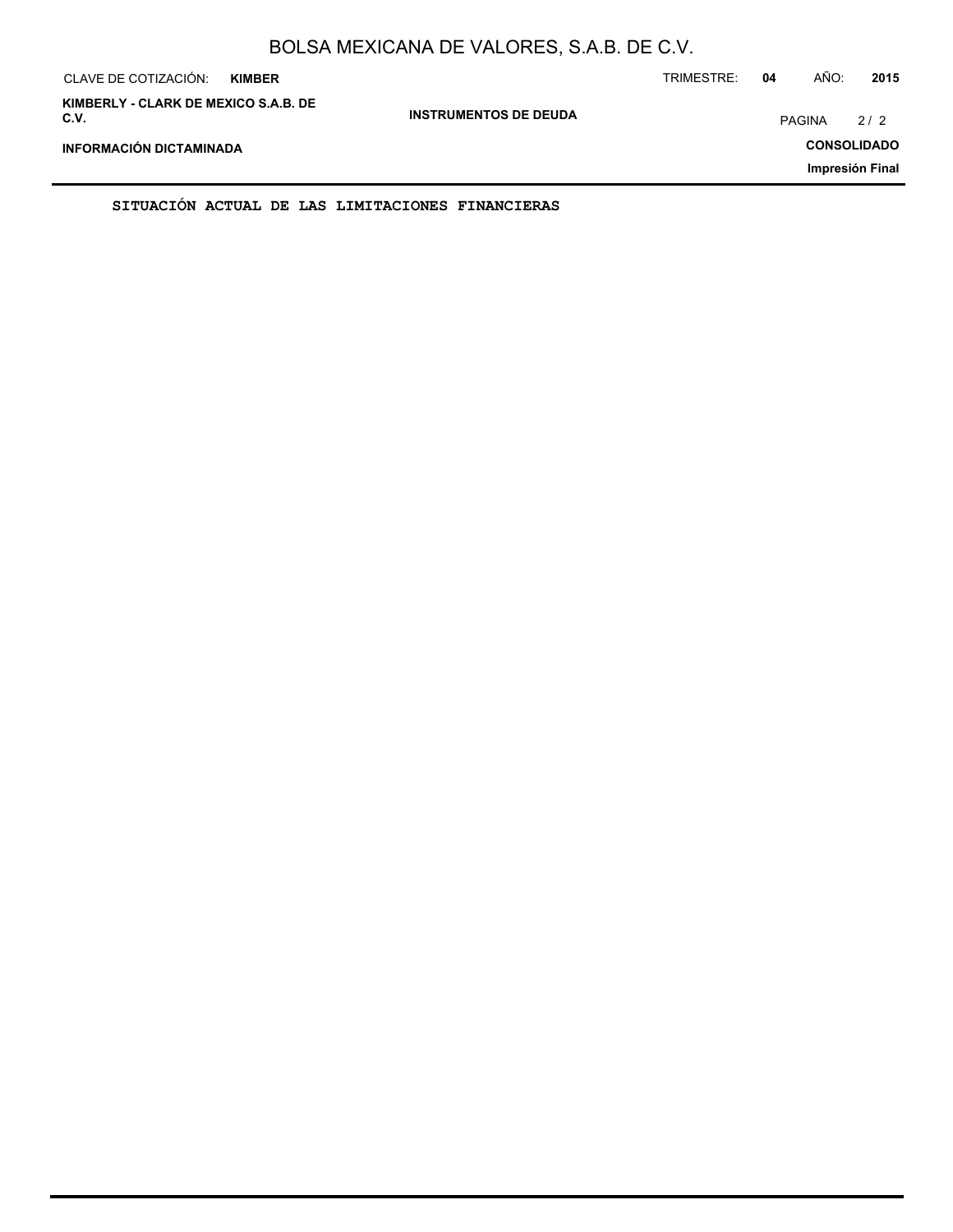| CLAVE DE COTIZACIÓN:<br><b>KIMBER</b>        |                              | TRIMESTRE: | 04 | AÑO:               | 2015            |
|----------------------------------------------|------------------------------|------------|----|--------------------|-----------------|
| KIMBERLY - CLARK DE MEXICO S.A.B. DE<br>C.V. | <b>INSTRUMENTOS DE DEUDA</b> |            |    | <b>PAGINA</b>      | 2/2             |
| INFORMACIÓN DICTAMINADA                      |                              |            |    | <b>CONSOLIDADO</b> |                 |
|                                              |                              |            |    |                    | Impresión Final |

**SITUACIÓN ACTUAL DE LAS LIMITACIONES FINANCIERAS**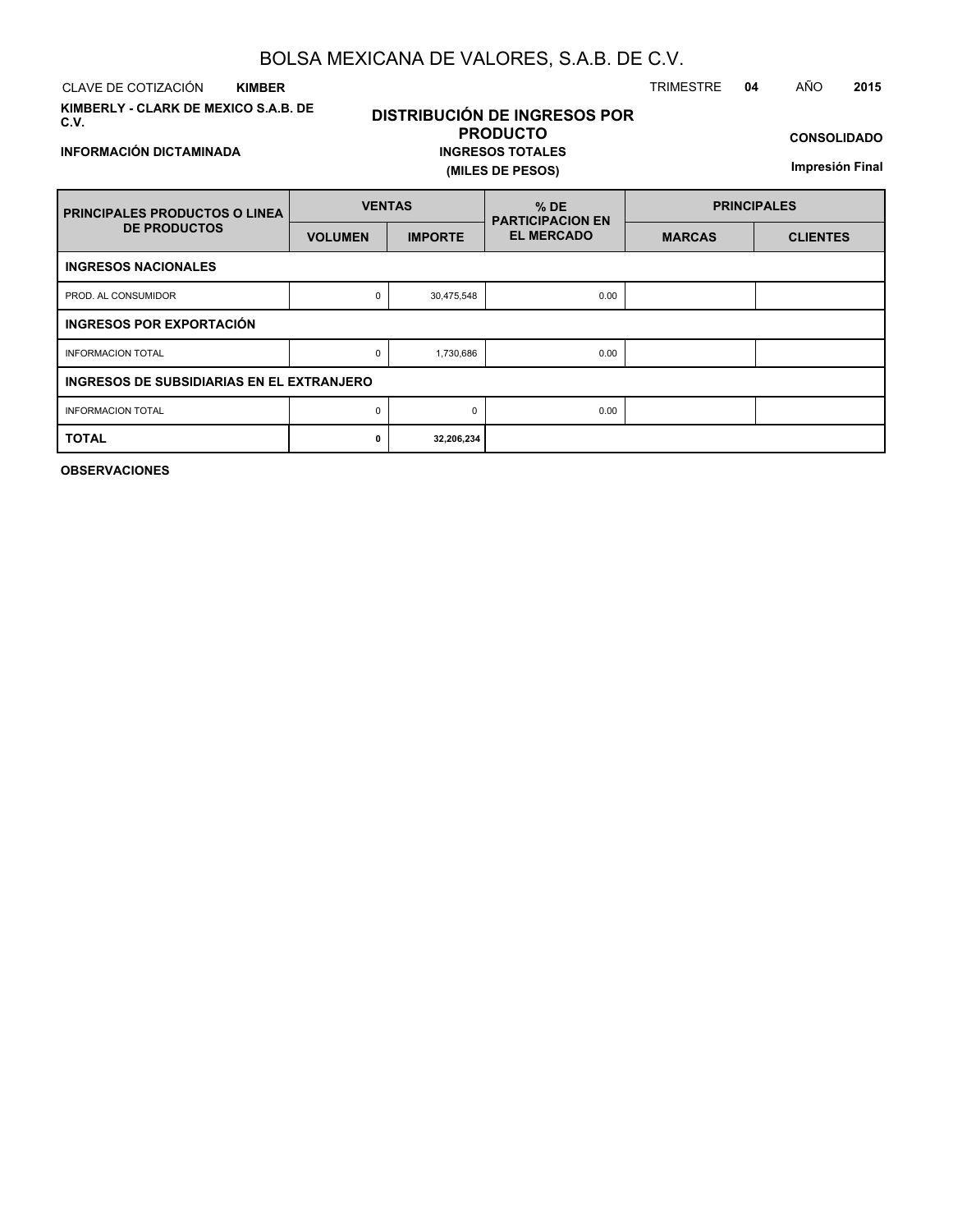CLAVE DE COTIZACIÓN TRIMESTRE **04** AÑO **2015 KIMBER**

**INFORMACIÓN DICTAMINADA**

**KIMBERLY - CLARK DE MEXICO S.A.B. DE C.V.**

## **DISTRIBUCIÓN DE INGRESOS POR PRODUCTO INGRESOS TOTALES (MILES DE PESOS)**

**CONSOLIDADO**

**Impresión Final**

| <b>FRINCIPALES PRODUCTOS O LINEA</b>       | <b>VENTAS</b>                             |                | $%$ DE<br><b>PARTICIPACION EN</b> | <b>PRINCIPALES</b> |                 |  |  |  |  |  |
|--------------------------------------------|-------------------------------------------|----------------|-----------------------------------|--------------------|-----------------|--|--|--|--|--|
| <b>DE PRODUCTOS</b>                        | <b>VOLUMEN</b>                            | <b>IMPORTE</b> | <b>EL MERCADO</b>                 | <b>MARCAS</b>      | <b>CLIENTES</b> |  |  |  |  |  |
| <b>INGRESOS NACIONALES</b>                 |                                           |                |                                   |                    |                 |  |  |  |  |  |
| PROD. AL CONSUMIDOR                        | 0                                         | 30,475,548     | 0.00                              |                    |                 |  |  |  |  |  |
| INGRESOS POR EXPORTACIÓN                   |                                           |                |                                   |                    |                 |  |  |  |  |  |
| <b>INFORMACION TOTAL</b>                   | 0                                         | 1,730,686      | 0.00                              |                    |                 |  |  |  |  |  |
|                                            | INGRESOS DE SUBSIDIARIAS EN EL EXTRANJERO |                |                                   |                    |                 |  |  |  |  |  |
| <b>INFORMACION TOTAL</b>                   |                                           | $\Omega$       | 0.00                              |                    |                 |  |  |  |  |  |
| <b>TOTAL</b><br>32,206,234<br>$\mathbf{0}$ |                                           |                |                                   |                    |                 |  |  |  |  |  |

**OBSERVACIONES**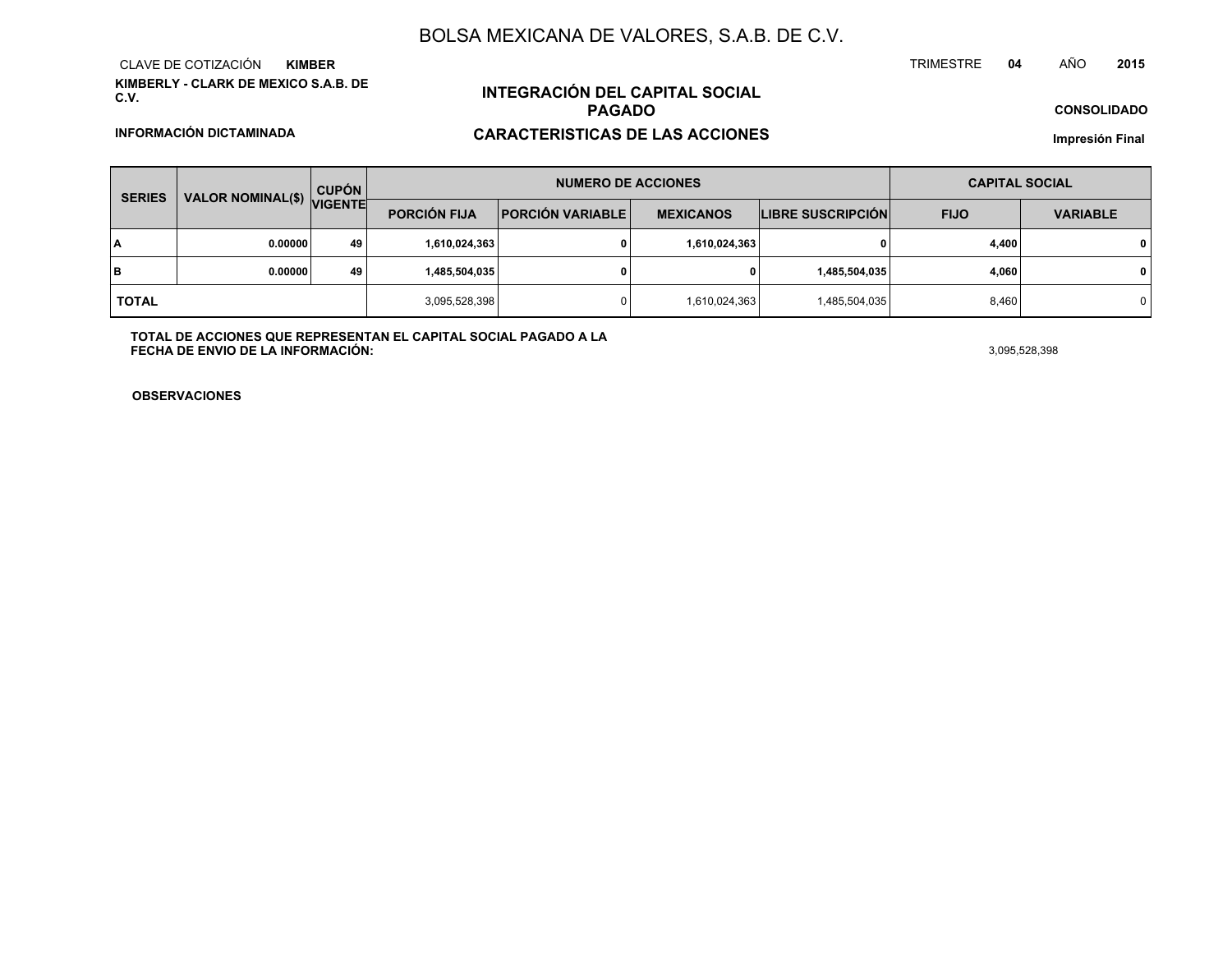**KIMBERLY - CLARK DE MEXICO S.A.B. DE C.V.**CLAVE DE COTIZACIÓN**KIMBER**

**INFORMACIÓN DICTAMINADA**

# **INTEGRACIÓN DEL CAPITAL SOCIALPAGADO**

## **CARACTERISTICAS DE LAS ACCIONES**

**CONSOLIDADO**

**Impresión Final**

| <b>SERIES</b> |                           | <b>CUPÓN</b> |                     | <b>NUMERO DE ACCIONES</b> | <b>CAPITAL SOCIAL</b> |                          |             |                 |
|---------------|---------------------------|--------------|---------------------|---------------------------|-----------------------|--------------------------|-------------|-----------------|
|               | VALOR NOMINAL(\$) VIGENTE |              | <b>PORCIÓN FIJA</b> | <b>PORCIÓN VARIABLE</b>   | <b>MEXICANOS</b>      | <b>LIBRE SUSCRIPCIÓN</b> | <b>FIJO</b> | <b>VARIABLE</b> |
| I٨            | 0.00000                   | 49           | 1,610,024,363       |                           | 1,610,024,363         |                          | 4,400       | $\mathbf{0}$    |
| lв            | 0.00000                   | 49           | 1,485,504,035       |                           | 0                     | 1,485,504,035            | 4,060       | $\mathbf{0}$    |
| <b>TOTAL</b>  |                           |              | 3,095,528,398       |                           | 1,610,024,363         | 1,485,504,035            | 8,460       | 0 I             |

**TOTAL DE ACCIONES QUE REPRESENTAN EL CAPITAL SOCIAL PAGADO A LAFECHA DE ENVIO DE LA INFORMACIÓN:** $3,095,528,398$ 

TRIMESTRE

**OBSERVACIONES**

#### **<sup>04</sup>** AÑO**<sup>2015</sup>**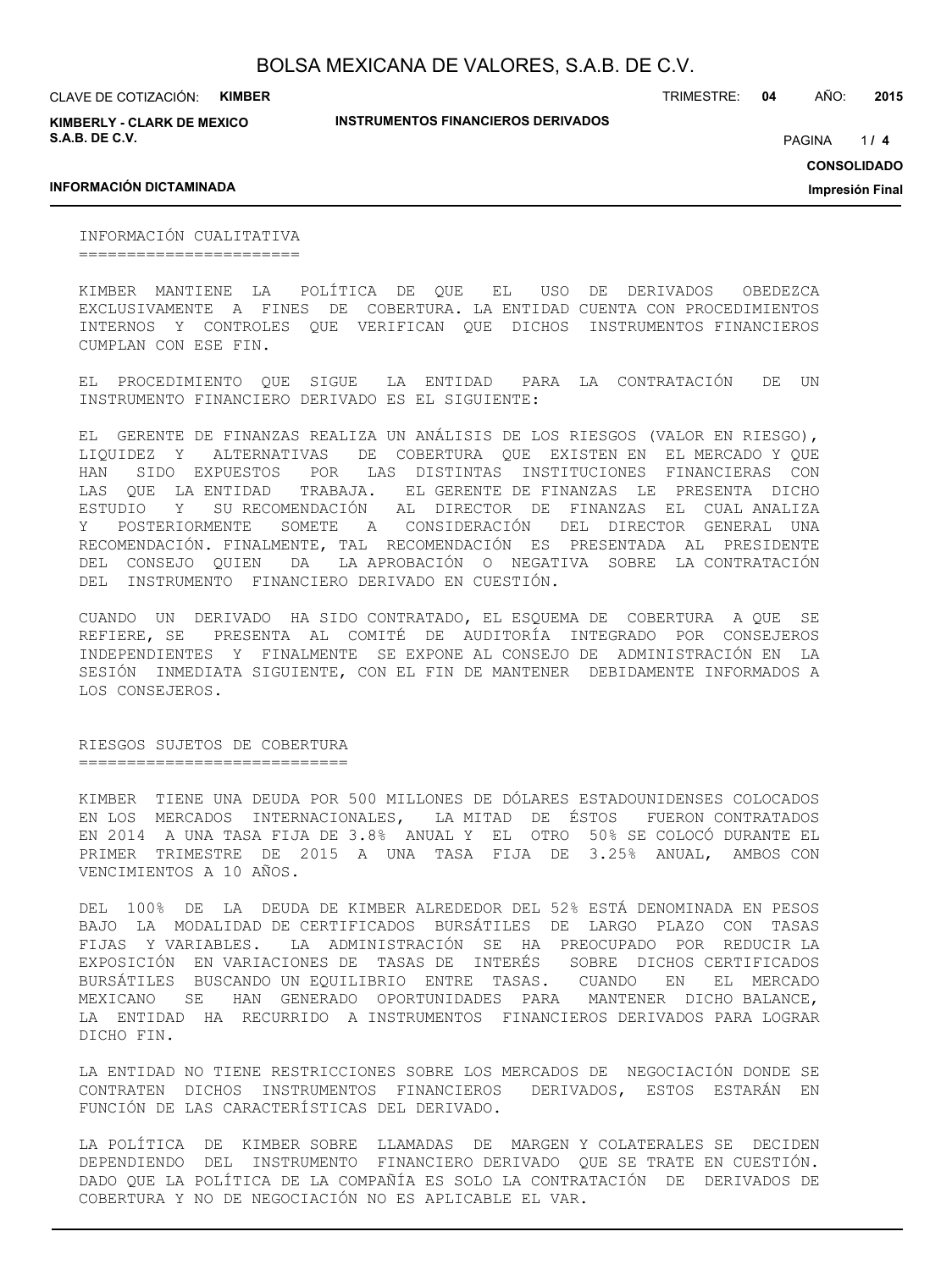**INSTRUMENTOS FINANCIEROS DERIVADOS**

CLAVE DE COTIZACIÓN: **KIMBER**

**KIMBERLY - CLARK DE MEXICO S.A.B. DE C.V.**

TRIMESTRE: **04** AÑO: **2015**

 $1/4$ PAGINA **/ 4**

**CONSOLIDADO**

**Impresión Final**

### **INFORMACIÓN DICTAMINADA**

INFORMACIÓN CUALITATIVA =======================

KIMBER MANTIENE LA POLÍTICA DE QUE EL USO DE DERIVADOS OBEDEZCA EXCLUSIVAMENTE A FINES DE COBERTURA. LA ENTIDAD CUENTA CON PROCEDIMIENTOS INTERNOS Y CONTROLES QUE VERIFICAN QUE DICHOS INSTRUMENTOS FINANCIEROS CUMPLAN CON ESE FIN.

EL PROCEDIMIENTO QUE SIGUE LA ENTIDAD PARA LA CONTRATACIÓN DE UN INSTRUMENTO FINANCIERO DERIVADO ES EL SIGUIENTE:

EL GERENTE DE FINANZAS REALIZA UN ANÁLISIS DE LOS RIESGOS (VALOR EN RIESGO), LIQUIDEZ Y ALTERNATIVAS DE COBERTURA QUE EXISTEN EN EL MERCADO Y QUE HAN SIDO EXPUESTOS POR LAS DISTINTAS INSTITUCIONES FINANCIERAS CON LAS QUE LA ENTIDAD TRABAJA. EL GERENTE DE FINANZAS LE PRESENTA DICHO ESTUDIO Y SU RECOMENDACIÓN AL DIRECTOR DE FINANZAS EL CUAL ANALIZA Y POSTERIORMENTE SOMETE A CONSIDERACIÓN DEL DIRECTOR GENERAL UNA RECOMENDACIÓN. FINALMENTE, TAL RECOMENDACIÓN ES PRESENTADA AL PRESIDENTE DEL CONSEJO QUIEN DA LA APROBACIÓN O NEGATIVA SOBRE LA CONTRATACIÓN DEL INSTRUMENTO FINANCIERO DERIVADO EN CUESTIÓN.

CUANDO UN DERIVADO HA SIDO CONTRATADO, EL ESQUEMA DE COBERTURA A QUE SE REFIERE, SE PRESENTA AL COMITÉ DE AUDITORÍA INTEGRADO POR CONSEJEROS INDEPENDIENTES Y FINALMENTE SE EXPONE AL CONSEJO DE ADMINISTRACIÓN EN LA SESIÓN INMEDIATA SIGUIENTE, CON EL FIN DE MANTENER DEBIDAMENTE INFORMADOS A LOS CONSEJEROS.

RIESGOS SUJETOS DE COBERTURA ===============================

KIMBER TIENE UNA DEUDA POR 500 MILLONES DE DÓLARES ESTADOUNIDENSES COLOCADOS EN LOS MERCADOS INTERNACIONALES, LA MITAD DE ÉSTOS FUERON CONTRATADOS EN 2014 A UNA TASA FIJA DE 3.8% ANUAL Y EL OTRO 50% SE COLOCÓ DURANTE EL PRIMER TRIMESTRE DE 2015 A UNA TASA FIJA DE 3.25% ANUAL, AMBOS CON VENCIMIENTOS A 10 AÑOS.

DEL 100% DE LA DEUDA DE KIMBER ALREDEDOR DEL 52% ESTÁ DENOMINADA EN PESOS BAJO LA MODALIDAD DE CERTIFICADOS BURSÁTILES DE LARGO PLAZO CON TASAS FIJAS Y VARIABLES. LA ADMINISTRACIÓN SE HA PREOCUPADO POR REDUCIR LA EXPOSICIÓN EN VARIACIONES DE TASAS DE INTERÉS SOBRE DICHOS CERTIFICADOS BURSÁTILES BUSCANDO UN EQUILIBRIO ENTRE TASAS. CUANDO EN EL MERCADO MEXICANO SE HAN GENERADO OPORTUNIDADES PARA MANTENER DICHO BALANCE, LA ENTIDAD HA RECURRIDO A INSTRUMENTOS FINANCIEROS DERIVADOS PARA LOGRAR DICHO FIN.

LA ENTIDAD NO TIENE RESTRICCIONES SOBRE LOS MERCADOS DE NEGOCIACIÓN DONDE SE CONTRATEN DICHOS INSTRUMENTOS FINANCIEROS DERIVADOS, ESTOS ESTARÁN EN FUNCIÓN DE LAS CARACTERÍSTICAS DEL DERIVADO.

LA POLÍTICA DE KIMBER SOBRE LLAMADAS DE MARGEN Y COLATERALES SE DECIDEN DEPENDIENDO DEL INSTRUMENTO FINANCIERO DERIVADO QUE SE TRATE EN CUESTIÓN. DADO QUE LA POLÍTICA DE LA COMPAÑÍA ES SOLO LA CONTRATACIÓN DE DERIVADOS DE COBERTURA Y NO DE NEGOCIACIÓN NO ES APLICABLE EL VAR.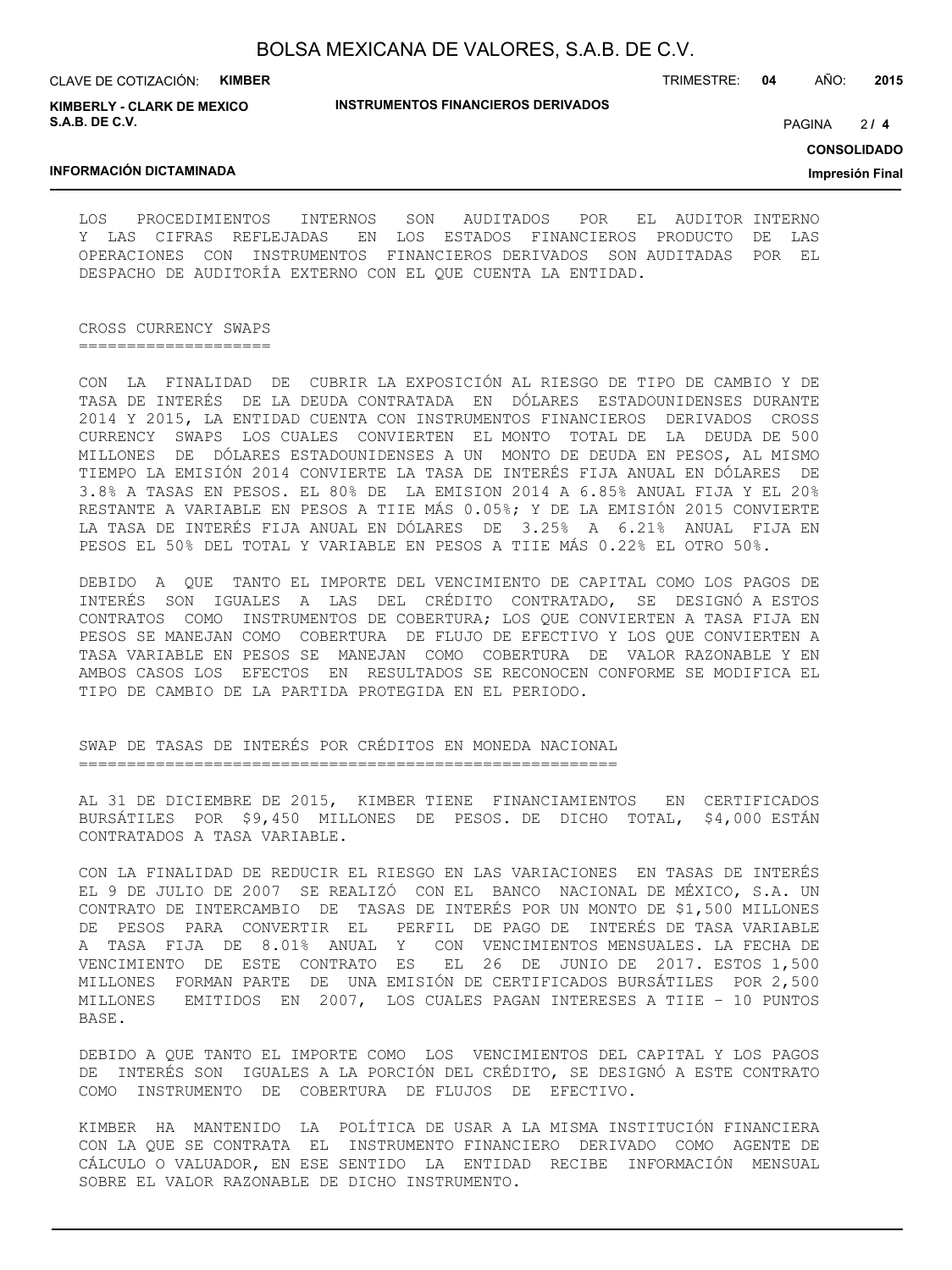CLAVE DE COTIZACIÓN: **KIMBER**

**INSTRUMENTOS FINANCIEROS DERIVADOS**

TRIMESTRE: **04** AÑO: **2015**

**KIMBERLY - CLARK DE MEXICO S.A.B. DE C.V.**

PAGINA **/ 4**

**CONSOLIDADO**

**Impresión Final**

 $214$ 

#### **INFORMACIÓN DICTAMINADA**

LOS PROCEDIMIENTOS INTERNOS SON AUDITADOS POR EL AUDITOR INTERNO Y LAS CIFRAS REFLEJADAS EN LOS ESTADOS FINANCIEROS PRODUCTO DE LAS OPERACIONES CON INSTRUMENTOS FINANCIEROS DERIVADOS SON AUDITADAS POR EL DESPACHO DE AUDITORÍA EXTERNO CON EL QUE CUENTA LA ENTIDAD.

CROSS CURRENCY SWAPS ====================

CON LA FINALIDAD DE CUBRIR LA EXPOSICIÓN AL RIESGO DE TIPO DE CAMBIO Y DE TASA DE INTERÉS DE LA DEUDA CONTRATADA EN DÓLARES ESTADOUNIDENSES DURANTE 2014 Y 2015, LA ENTIDAD CUENTA CON INSTRUMENTOS FINANCIEROS DERIVADOS CROSS CURRENCY SWAPS LOS CUALES CONVIERTEN EL MONTO TOTAL DE LA DEUDA DE 500 MILLONES DE DÓLARES ESTADOUNIDENSES A UN MONTO DE DEUDA EN PESOS, AL MISMO TIEMPO LA EMISIÓN 2014 CONVIERTE LA TASA DE INTERÉS FIJA ANUAL EN DÓLARES DE 3.8% A TASAS EN PESOS. EL 80% DE LA EMISION 2014 A 6.85% ANUAL FIJA Y EL 20% RESTANTE A VARIABLE EN PESOS A TIIE MÁS 0.05%; Y DE LA EMISIÓN 2015 CONVIERTE LA TASA DE INTERÉS FIJA ANUAL EN DÓLARES DE 3.25% A 6.21% ANUAL FIJA EN PESOS EL 50% DEL TOTAL Y VARIABLE EN PESOS A TIIE MÁS 0.22% EL OTRO 50%.

DEBIDO A QUE TANTO EL IMPORTE DEL VENCIMIENTO DE CAPITAL COMO LOS PAGOS DE INTERÉS SON IGUALES A LAS DEL CRÉDITO CONTRATADO, SE DESIGNÓ A ESTOS CONTRATOS COMO INSTRUMENTOS DE COBERTURA; LOS QUE CONVIERTEN A TASA FIJA EN PESOS SE MANEJAN COMO COBERTURA DE FLUJO DE EFECTIVO Y LOS QUE CONVIERTEN A TASA VARIABLE EN PESOS SE MANEJAN COMO COBERTURA DE VALOR RAZONABLE Y EN AMBOS CASOS LOS EFECTOS EN RESULTADOS SE RECONOCEN CONFORME SE MODIFICA EL TIPO DE CAMBIO DE LA PARTIDA PROTEGIDA EN EL PERIODO.

SWAP DE TASAS DE INTERÉS POR CRÉDITOS EN MONEDA NACIONAL ========================================================

AL 31 DE DICIEMBRE DE 2015, KIMBER TIENE FINANCIAMIENTOS EN CERTIFICADOS BURSÁTILES POR \$9,450 MILLONES DE PESOS. DE DICHO TOTAL, \$4,000 ESTÁN CONTRATADOS A TASA VARIABLE.

CON LA FINALIDAD DE REDUCIR EL RIESGO EN LAS VARIACIONES EN TASAS DE INTERÉS EL 9 DE JULIO DE 2007 SE REALIZÓ CON EL BANCO NACIONAL DE MÉXICO, S.A. UN CONTRATO DE INTERCAMBIO DE TASAS DE INTERÉS POR UN MONTO DE \$1,500 MILLONES DE PESOS PARA CONVERTIR EL PERFIL DE PAGO DE INTERÉS DE TASA VARIABLE A TASA FIJA DE 8.01% ANUAL Y CON VENCIMIENTOS MENSUALES. LA FECHA DE VENCIMIENTO DE ESTE CONTRATO ES EL 26 DE JUNIO DE 2017. ESTOS 1,500 MILLONES FORMAN PARTE DE UNA EMISIÓN DE CERTIFICADOS BURSÁTILES POR 2,500 MILLONES EMITIDOS EN 2007, LOS CUALES PAGAN INTERESES A TIIE – 10 PUNTOS BASE.

DEBIDO A QUE TANTO EL IMPORTE COMO LOS VENCIMIENTOS DEL CAPITAL Y LOS PAGOS DE INTERÉS SON IGUALES A LA PORCIÓN DEL CRÉDITO, SE DESIGNÓ A ESTE CONTRATO COMO INSTRUMENTO DE COBERTURA DE FLUJOS DE EFECTIVO.

KIMBER HA MANTENIDO LA POLÍTICA DE USAR A LA MISMA INSTITUCIÓN FINANCIERA CON LA QUE SE CONTRATA EL INSTRUMENTO FINANCIERO DERIVADO COMO AGENTE DE CÁLCULO O VALUADOR, EN ESE SENTIDO LA ENTIDAD RECIBE INFORMACIÓN MENSUAL SOBRE EL VALOR RAZONABLE DE DICHO INSTRUMENTO.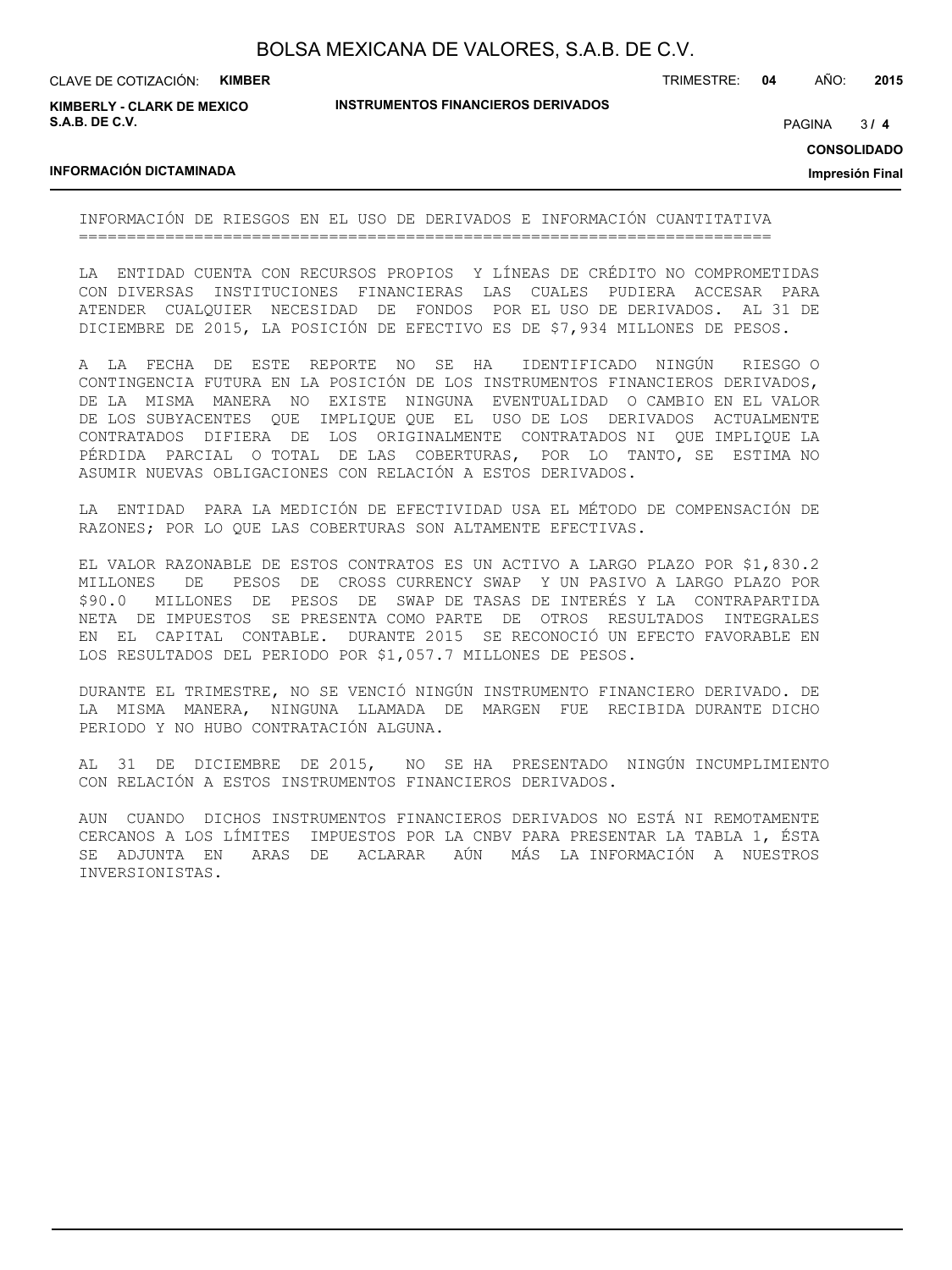CLAVE DE COTIZACIÓN: **KIMBER**

**KIMBERLY - CLARK DE MEXICO S.A.B. DE C.V.**

**INSTRUMENTOS FINANCIEROS DERIVADOS**

TRIMESTRE: **04** AÑO: **2015**

 $31<sub>4</sub>$ PAGINA **/ 4**

#### **CONSOLIDADO**

**Impresión Final**

#### **INFORMACIÓN DICTAMINADA**

INFORMACIÓN DE RIESGOS EN EL USO DE DERIVADOS E INFORMACIÓN CUANTITATIVA ========================================================================

LA ENTIDAD CUENTA CON RECURSOS PROPIOS Y LÍNEAS DE CRÉDITO NO COMPROMETIDAS CON DIVERSAS INSTITUCIONES FINANCIERAS LAS CUALES PUDIERA ACCESAR PARA ATENDER CUALQUIER NECESIDAD DE FONDOS POR EL USO DE DERIVADOS. AL 31 DE DICIEMBRE DE 2015, LA POSICIÓN DE EFECTIVO ES DE \$7,934 MILLONES DE PESOS.

A LA FECHA DE ESTE REPORTE NO SE HA IDENTIFICADO NINGÚN RIESGO O CONTINGENCIA FUTURA EN LA POSICIÓN DE LOS INSTRUMENTOS FINANCIEROS DERIVADOS, DE LA MISMA MANERA NO EXISTE NINGUNA EVENTUALIDAD O CAMBIO EN EL VALOR DE LOS SUBYACENTES QUE IMPLIQUE QUE EL USO DE LOS DERIVADOS ACTUALMENTE CONTRATADOS DIFIERA DE LOS ORIGINALMENTE CONTRATADOS NI QUE IMPLIQUE LA PÉRDIDA PARCIAL O TOTAL DE LAS COBERTURAS, POR LO TANTO, SE ESTIMA NO ASUMIR NUEVAS OBLIGACIONES CON RELACIÓN A ESTOS DERIVADOS.

LA ENTIDAD PARA LA MEDICIÓN DE EFECTIVIDAD USA EL MÉTODO DE COMPENSACIÓN DE RAZONES; POR LO QUE LAS COBERTURAS SON ALTAMENTE EFECTIVAS.

EL VALOR RAZONABLE DE ESTOS CONTRATOS ES UN ACTIVO A LARGO PLAZO POR \$1,830.2 MILLONES DE PESOS DE CROSS CURRENCY SWAP Y UN PASIVO A LARGO PLAZO POR \$90.0 MILLONES DE PESOS DE SWAP DE TASAS DE INTERÉS Y LA CONTRAPARTIDA NETA DE IMPUESTOS SE PRESENTA COMO PARTE DE OTROS RESULTADOS INTEGRALES EN EL CAPITAL CONTABLE. DURANTE 2015 SE RECONOCIÓ UN EFECTO FAVORABLE EN LOS RESULTADOS DEL PERIODO POR \$1,057.7 MILLONES DE PESOS.

DURANTE EL TRIMESTRE, NO SE VENCIÓ NINGÚN INSTRUMENTO FINANCIERO DERIVADO. DE LA MISMA MANERA, NINGUNA LLAMADA DE MARGEN FUE RECIBIDA DURANTE DICHO PERIODO Y NO HUBO CONTRATACIÓN ALGUNA.

AL 31 DE DICIEMBRE DE 2015, NO SE HA PRESENTADO NINGÚN INCUMPLIMIENTO CON RELACIÓN A ESTOS INSTRUMENTOS FINANCIEROS DERIVADOS.

AUN CUANDO DICHOS INSTRUMENTOS FINANCIEROS DERIVADOS NO ESTÁ NI REMOTAMENTE CERCANOS A LOS LÍMITES IMPUESTOS POR LA CNBV PARA PRESENTAR LA TABLA 1, ÉSTA SE ADJUNTA EN ARAS DE ACLARAR AÚN MÁS LA INFORMACIÓN A NUESTROS INVERSIONISTAS.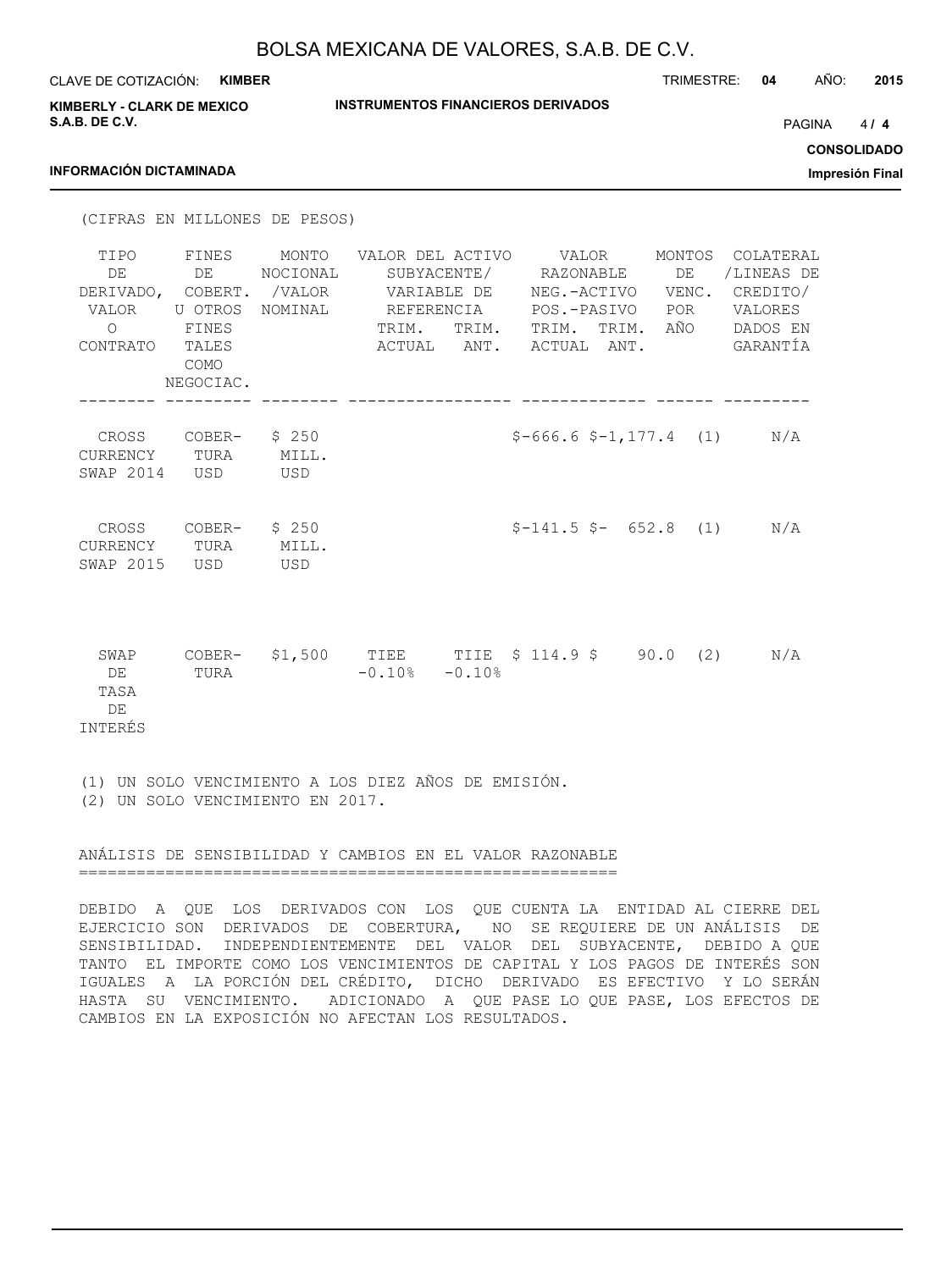| <b>KIMBER</b><br>CLAVE DE COTIZACIÓN:<br><b>KIMBERLY - CLARK DE MEXICO</b>                                                                         | <b>INSTRUMENTOS FINANCIEROS DERIVADOS</b>                                                                          | TRIMESTRE:                                                                                               | AÑO:<br>2015<br>04                                                            |
|----------------------------------------------------------------------------------------------------------------------------------------------------|--------------------------------------------------------------------------------------------------------------------|----------------------------------------------------------------------------------------------------------|-------------------------------------------------------------------------------|
| S.A.B. DE C.V.<br><b>INFORMACIÓN DICTAMINADA</b>                                                                                                   |                                                                                                                    |                                                                                                          | 4/4<br><b>PAGINA</b><br><b>CONSOLIDADO</b><br>Impresión Final                 |
| (CIFRAS EN MILLONES DE PESOS)                                                                                                                      |                                                                                                                    |                                                                                                          |                                                                               |
| FINES<br>TIPO<br>DE<br>DE<br>DERIVADO, COBERT. /VALOR<br>VALOR<br>U OTROS NOMINAL<br>$\bigcirc$<br>FINES<br>TALES<br>CONTRATO<br>COMO<br>NEGOCIAC. | MONTO<br>VALOR DEL ACTIVO<br>NOCIONAL<br>SUBYACENTE/<br>VARIABLE DE<br>REFERENCIA<br>TRIM.<br>TRIM.<br>ACTUAL ANT. | VALOR<br>DE<br>RAZONABLE<br>NEG.-ACTIVO VENC.<br>POS.-PASIVO<br>POR<br>AÑO<br>TRIM. TRIM.<br>ACTUAL ANT. | MONTOS COLATERAL<br>/LINEAS DE<br>CREDITO/<br>VALORES<br>DADOS EN<br>GARANTÍA |
| CROSS COBER-<br>CURRENCY TURA<br>SWAP 2014 USD                                                                                                     | \$250<br>MILL.<br>USD                                                                                              | $$-666.6$ $$-1, 177.4$ (1)                                                                               | N/A                                                                           |
| CROSS<br>COBER-<br>CURRENCY<br>TURA<br>SWAP 2015<br>USD                                                                                            | \$250<br>MILL.<br>USD                                                                                              | $$-141.5$ \$- 652.8<br>(1)                                                                               | N/A                                                                           |
| COBER-<br>SWAP<br>DE<br>TURA<br>TASA<br>DE<br><b>INTERÉS</b>                                                                                       | \$1,500<br>$-0.10$ % $-0.10$ %                                                                                     | TIEE TIIE \$ 114.9 \$ 90.0 (2)                                                                           | N/A                                                                           |

(1) UN SOLO VENCIMIENTO A LOS DIEZ AÑOS DE EMISIÓN. (2) UN SOLO VENCIMIENTO EN 2017.

ANÁLISIS DE SENSIBILIDAD Y CAMBIOS EN EL VALOR RAZONABLE

========================================================

DEBIDO A QUE LOS DERIVADOS CON LOS QUE CUENTA LA ENTIDAD AL CIERRE DEL EJERCICIO SON DERIVADOS DE COBERTURA, NO SE REQUIERE DE UN ANÁLISIS DE SENSIBILIDAD. INDEPENDIENTEMENTE DEL VALOR DEL SUBYACENTE, DEBIDO A QUE TANTO EL IMPORTE COMO LOS VENCIMIENTOS DE CAPITAL Y LOS PAGOS DE INTERÉS SON IGUALES A LA PORCIÓN DEL CRÉDITO, DICHO DERIVADO ES EFECTIVO Y LO SERÁN HASTA SU VENCIMIENTO. ADICIONADO A QUE PASE LO QUE PASE, LOS EFECTOS DE CAMBIOS EN LA EXPOSICIÓN NO AFECTAN LOS RESULTADOS.